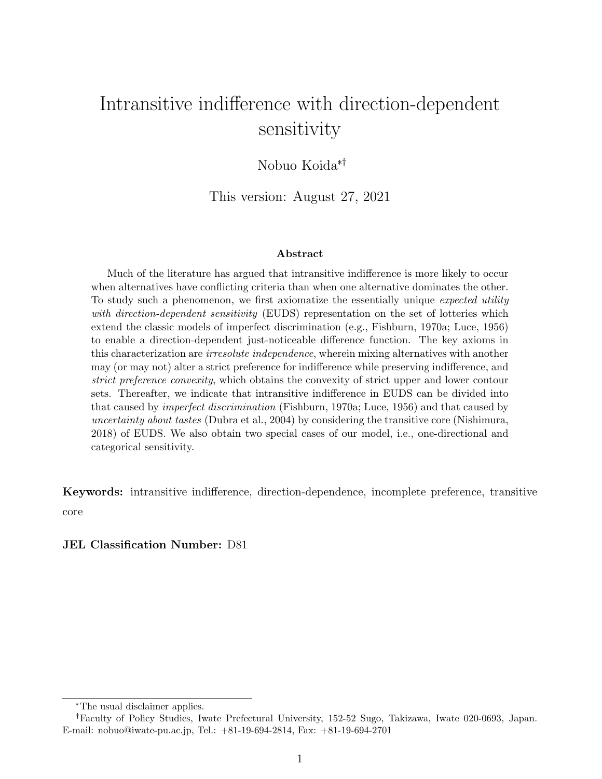# Intransitive indifference with direction-dependent sensitivity

Nobuo Koida\*

This version: August 27, 2021

#### **Abstract**

Much of the literature has argued that intransitive indifference is more likely to occur when alternatives have conflicting criteria than when one alternative dominates the other. To study such a phenomenon, we first axiomatize the essentially unique *expected utility with direction-dependent sensitivity* (EUDS) representation on the set of lotteries which extend the classic models of imperfect discrimination (e.g., Fishburn, 1970a; Luce, 1956) to enable a direction-dependent just-noticeable difference function. The key axioms in this characterization are *irresolute independence*, wherein mixing alternatives with another may (or may not) alter a strict preference for indifference while preserving indifference, and *strict preference convexity*, which obtains the convexity of strict upper and lower contour sets. Thereafter, we indicate that intransitive indifference in EUDS can be divided into that caused by *imperfect discrimination* (Fishburn, 1970a; Luce, 1956) and that caused by *uncertainty about tastes* (Dubra et al., 2004) by considering the transitive core (Nishimura, 2018) of EUDS. We also obtain two special cases of our model, i.e., one-directional and categorical sensitivity.

**Keywords:** intransitive indifference, direction-dependence, incomplete preference, transitive core

#### **JEL Classification Number:** D81

<sup>\*</sup>The usual disclaimer applies.

Faculty of Policy Studies, Iwate Prefectural University, 152-52 Sugo, Takizawa, Iwate 020-0693, Japan. E-mail: nobuo@iwate-pu.ac.jp, Tel.: +81-19-694-2814, Fax: +81-19-694-2701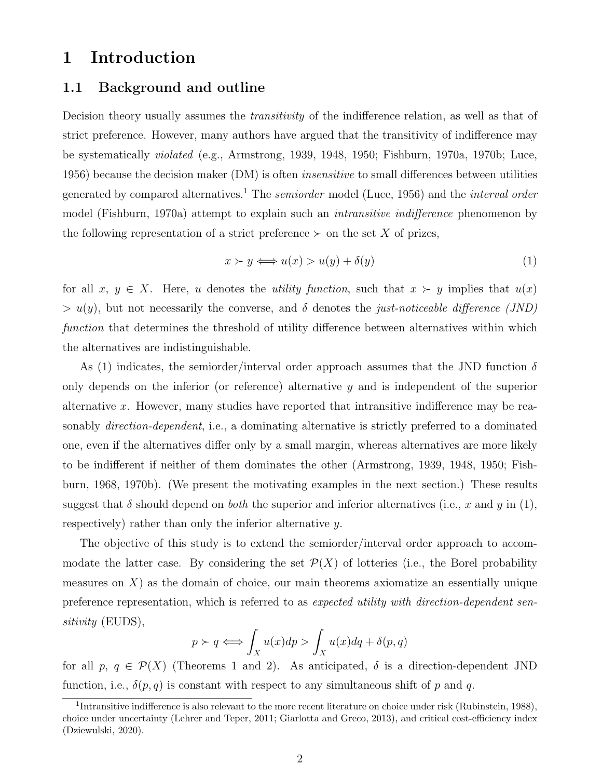### **1 Introduction**

#### **1.1 Background and outline**

Decision theory usually assumes the *transitivity* of the indifference relation, as well as that of strict preference. However, many authors have argued that the transitivity of indifference may be systematically *violated* (e.g., Armstrong, 1939, 1948, 1950; Fishburn, 1970a, 1970b; Luce, 1956) because the decision maker (DM) is often *insensitive* to small differences between utilities generated by compared alternatives.<sup>1</sup> The *semiorder* model (Luce, 1956) and the *interval order* model (Fishburn, 1970a) attempt to explain such an *intransitive indifference* phenomenon by the following representation of a strict preference  $\succ$  on the set X of prizes,

$$
x \succ y \Longleftrightarrow u(x) > u(y) + \delta(y) \tag{1}
$$

for all  $x, y \in X$ . Here, *u* denotes the *utility function*, such that  $x \succ y$  implies that  $u(x)$  $> u(y)$ , but not necessarily the converse, and  $\delta$  denotes the *just-noticeable difference (JND) function* that determines the threshold of utility difference between alternatives within which the alternatives are indistinguishable.

As (1) indicates, the semiorder/interval order approach assumes that the JND function *δ* only depends on the inferior (or reference) alternative *y* and is independent of the superior alternative *x*. However, many studies have reported that intransitive indifference may be reasonably *direction-dependent*, i.e., a dominating alternative is strictly preferred to a dominated one, even if the alternatives differ only by a small margin, whereas alternatives are more likely to be indifferent if neither of them dominates the other (Armstrong, 1939, 1948, 1950; Fishburn, 1968, 1970b). (We present the motivating examples in the next section.) These results suggest that  $\delta$  should depend on *both* the superior and inferior alternatives (i.e., *x* and *y* in (1), respectively) rather than only the inferior alternative *y*.

The objective of this study is to extend the semiorder/interval order approach to accommodate the latter case. By considering the set  $\mathcal{P}(X)$  of lotteries (i.e., the Borel probability measures on *X*) as the domain of choice, our main theorems axiomatize an essentially unique preference representation, which is referred to as *expected utility with direction-dependent sensitivity* (EUDS),

$$
p \succ q \Longleftrightarrow \int_X u(x) dp > \int_X u(x) dq + \delta(p, q)
$$

for all  $p, q \in \mathcal{P}(X)$  (Theorems 1 and 2). As anticipated,  $\delta$  is a direction-dependent JND function, i.e.,  $\delta(p,q)$  is constant with respect to any simultaneous shift of p and q.

<sup>&</sup>lt;sup>1</sup>Intransitive indifference is also relevant to the more recent literature on choice under risk (Rubinstein, 1988), choice under uncertainty (Lehrer and Teper, 2011; Giarlotta and Greco, 2013), and critical cost-efficiency index (Dziewulski, 2020).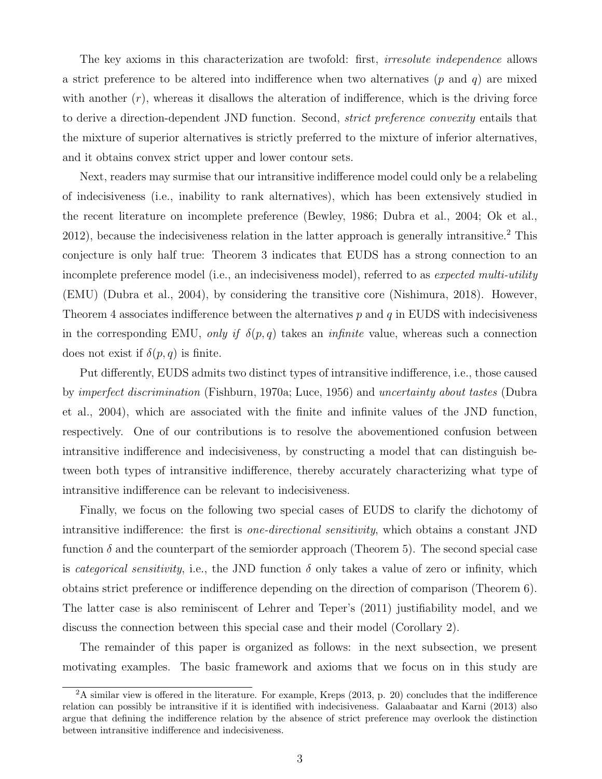The key axioms in this characterization are twofold: first, *irresolute independence* allows a strict preference to be altered into indifference when two alternatives (*p* and *q*) are mixed with another  $(r)$ , whereas it disallows the alteration of indifference, which is the driving force to derive a direction-dependent JND function. Second, *strict preference convexity* entails that the mixture of superior alternatives is strictly preferred to the mixture of inferior alternatives, and it obtains convex strict upper and lower contour sets.

Next, readers may surmise that our intransitive indifference model could only be a relabeling of indecisiveness (i.e., inability to rank alternatives), which has been extensively studied in the recent literature on incomplete preference (Bewley, 1986; Dubra et al., 2004; Ok et al., 2012), because the indecisiveness relation in the latter approach is generally intransitive.<sup>2</sup> This conjecture is only half true: Theorem 3 indicates that EUDS has a strong connection to an incomplete preference model (i.e., an indecisiveness model), referred to as *expected multi-utility* (EMU) (Dubra et al., 2004), by considering the transitive core (Nishimura, 2018). However, Theorem 4 associates indifference between the alternatives *p* and *q* in EUDS with indecisiveness in the corresponding EMU, *only if*  $\delta(p,q)$  takes an *infinite* value, whereas such a connection does not exist if  $\delta(p,q)$  is finite.

Put differently, EUDS admits two distinct types of intransitive indifference, i.e., those caused by *imperfect discrimination* (Fishburn, 1970a; Luce, 1956) and *uncertainty about tastes* (Dubra et al., 2004), which are associated with the finite and infinite values of the JND function, respectively. One of our contributions is to resolve the abovementioned confusion between intransitive indifference and indecisiveness, by constructing a model that can distinguish between both types of intransitive indifference, thereby accurately characterizing what type of intransitive indifference can be relevant to indecisiveness.

Finally, we focus on the following two special cases of EUDS to clarify the dichotomy of intransitive indifference: the first is *one-directional sensitivity*, which obtains a constant JND function  $\delta$  and the counterpart of the semiorder approach (Theorem 5). The second special case is *categorical sensitivity*, i.e., the JND function  $\delta$  only takes a value of zero or infinity, which obtains strict preference or indifference depending on the direction of comparison (Theorem 6). The latter case is also reminiscent of Lehrer and Teper's (2011) justifiability model, and we discuss the connection between this special case and their model (Corollary 2).

The remainder of this paper is organized as follows: in the next subsection, we present motivating examples. The basic framework and axioms that we focus on in this study are

 $2A$  similar view is offered in the literature. For example, Kreps (2013, p. 20) concludes that the indifference relation can possibly be intransitive if it is identified with indecisiveness. Galaabaatar and Karni (2013) also argue that defining the indifference relation by the absence of strict preference may overlook the distinction between intransitive indifference and indecisiveness.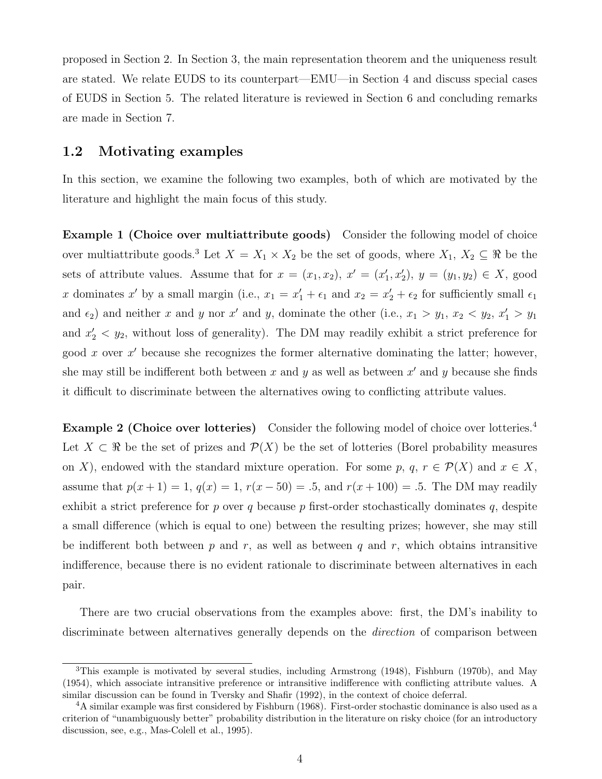proposed in Section 2. In Section 3, the main representation theorem and the uniqueness result are stated. We relate EUDS to its counterpart—EMU—in Section 4 and discuss special cases of EUDS in Section 5. The related literature is reviewed in Section 6 and concluding remarks are made in Section 7.

#### **1.2 Motivating examples**

In this section, we examine the following two examples, both of which are motivated by the literature and highlight the main focus of this study.

**Example 1 (Choice over multiattribute goods)** Consider the following model of choice over multiattribute goods.<sup>3</sup> Let  $X = X_1 \times X_2$  be the set of goods, where  $X_1, X_2 \subseteq \Re$  be the sets of attribute values. Assume that for  $x = (x_1, x_2), x' = (x'_1, x'_2), y = (y_1, y_2) \in X$ , good *x* dominates *x'* by a small margin (i.e.,  $x_1 = x_1' + \epsilon_1$  and  $x_2 = x_2' + \epsilon_2$  for sufficiently small  $\epsilon_1$ and  $\epsilon_2$  and neither *x* and *y* nor *x'* and *y*, dominate the other (i.e.,  $x_1 > y_1$ ,  $x_2 < y_2$ ,  $x'_1 > y_1$ and  $x_2' < y_2$ , without loss of generality). The DM may readily exhibit a strict preference for good *x* over *x ′* because she recognizes the former alternative dominating the latter; however, she may still be indifferent both between *x* and *y* as well as between *x ′* and *y* because she finds it difficult to discriminate between the alternatives owing to conflicting attribute values.

**Example 2 (Choice over lotteries)** Consider the following model of choice over lotteries.<sup>4</sup> Let  $X \subset \mathbb{R}$  be the set of prizes and  $\mathcal{P}(X)$  be the set of lotteries (Borel probability measures on *X*), endowed with the standard mixture operation. For some p, q,  $r \in \mathcal{P}(X)$  and  $x \in X$ , assume that  $p(x + 1) = 1$ ,  $q(x) = 1$ ,  $r(x - 50) = .5$ , and  $r(x + 100) = .5$ . The DM may readily exhibit a strict preference for *p* over *q* because *p* first-order stochastically dominates *q*, despite a small difference (which is equal to one) between the resulting prizes; however, she may still be indifferent both between  $p$  and  $r$ , as well as between  $q$  and  $r$ , which obtains intransitive indifference, because there is no evident rationale to discriminate between alternatives in each pair.

There are two crucial observations from the examples above: first, the DM's inability to discriminate between alternatives generally depends on the *direction* of comparison between

 $3$ This example is motivated by several studies, including Armstrong (1948), Fishburn (1970b), and May (1954), which associate intransitive preference or intransitive indifference with conflicting attribute values. A similar discussion can be found in Tversky and Shafir (1992), in the context of choice deferral.

<sup>4</sup>A similar example was first considered by Fishburn (1968). First-order stochastic dominance is also used as a criterion of "unambiguously better" probability distribution in the literature on risky choice (for an introductory discussion, see, e.g., Mas-Colell et al., 1995).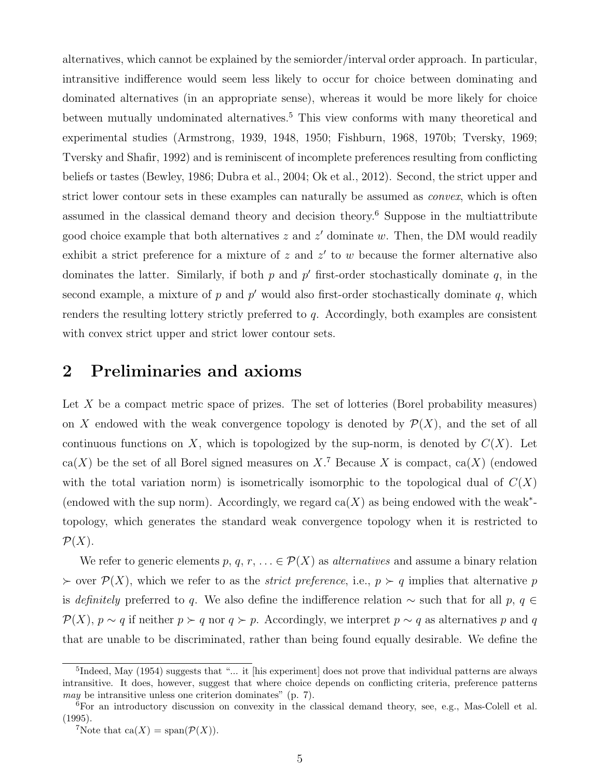alternatives, which cannot be explained by the semiorder/interval order approach. In particular, intransitive indifference would seem less likely to occur for choice between dominating and dominated alternatives (in an appropriate sense), whereas it would be more likely for choice between mutually undominated alternatives.<sup>5</sup> This view conforms with many theoretical and experimental studies (Armstrong, 1939, 1948, 1950; Fishburn, 1968, 1970b; Tversky, 1969; Tversky and Shafir, 1992) and is reminiscent of incomplete preferences resulting from conflicting beliefs or tastes (Bewley, 1986; Dubra et al., 2004; Ok et al., 2012). Second, the strict upper and strict lower contour sets in these examples can naturally be assumed as *convex*, which is often assumed in the classical demand theory and decision theory.<sup>6</sup> Suppose in the multiattribute good choice example that both alternatives *z* and *z ′* dominate *w*. Then, the DM would readily exhibit a strict preference for a mixture of *z* and *z ′* to *w* because the former alternative also dominates the latter. Similarly, if both *p* and *p ′* first-order stochastically dominate *q*, in the second example, a mixture of *p* and *p ′* would also first-order stochastically dominate *q*, which renders the resulting lottery strictly preferred to *q*. Accordingly, both examples are consistent with convex strict upper and strict lower contour sets.

# **2 Preliminaries and axioms**

Let X be a compact metric space of prizes. The set of lotteries (Borel probability measures) on *X* endowed with the weak convergence topology is denoted by  $P(X)$ , and the set of all continuous functions on *X*, which is topologized by the sup-norm, is denoted by  $C(X)$ . Let  $ca(X)$  be the set of all Borel signed measures on  $X$ .<sup>7</sup> Because X is compact,  $ca(X)$  (endowed with the total variation norm) is isometrically isomorphic to the topological dual of  $C(X)$ (endowed with the sup norm). Accordingly, we regard  $ca(X)$  as being endowed with the weak<sup>\*</sup>topology, which generates the standard weak convergence topology when it is restricted to  $\mathcal{P}(X)$ .

We refer to generic elements  $p, q, r, \ldots \in \mathcal{P}(X)$  as *alternatives* and assume a binary relation *≻* over *P*(*X*), which we refer to as the *strict preference*, i.e., *p ≻ q* implies that alternative *p* is *definitely* preferred to *q*. We also define the indifference relation *∼* such that for all *p*, *q ∈*  $P(X)$ ,  $p \sim q$  if neither  $p \succ q$  nor  $q \succ p$ . Accordingly, we interpret  $p \sim q$  as alternatives *p* and *q* that are unable to be discriminated, rather than being found equally desirable. We define the

<sup>&</sup>lt;sup>5</sup>Indeed, May (1954) suggests that "... it [his experiment] does not prove that individual patterns are always intransitive. It does, however, suggest that where choice depends on conflicting criteria, preference patterns *may* be intransitive unless one criterion dominates" (p. 7).

<sup>6</sup>For an introductory discussion on convexity in the classical demand theory, see, e.g., Mas-Colell et al. (1995).

 ${}^{7}$ Note that ca(*X*) = span( $P(X)$ ).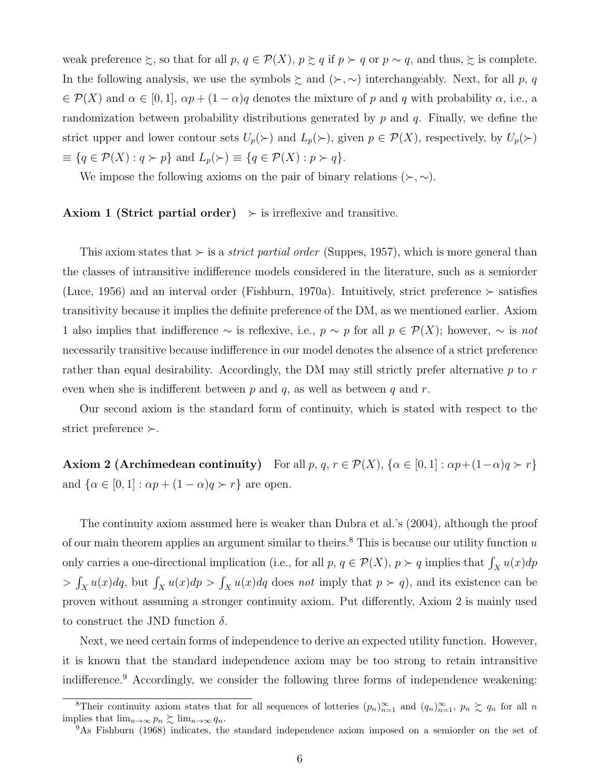weak preference  $\succsim$ , so that for all  $p, q \in \mathcal{P}(X)$ ,  $p \succsim q$  if  $p \succ q$  or  $p \sim q$ , and thus,  $\succsim$  is complete. In the following analysis, we use the symbols ≿ and (*≻, ∼*) interchangeably. Next, for all *p*, *q*  $\in \mathcal{P}(X)$  and  $\alpha \in [0,1], \alpha p + (1-\alpha)q$  denotes the mixture of *p* and *q* with probability  $\alpha$ , i.e., a randomization between probability distributions generated by *p* and *q*. Finally, we define the strict upper and lower contour sets  $U_p(\succ)$  and  $L_p(\succ)$ , given  $p \in \mathcal{P}(X)$ , respectively, by  $U_p(\succ)$ *≡ {q ∈ P*(*X*) : *q ≻ p}* and *Lp*(*≻*) *≡ {q ∈ P*(*X*) : *p ≻ q}*.

We impose the following axioms on the pair of binary relations  $(\succ, \sim)$ .

#### **Axiom 1 (Strict partial order)**  $\rightarrow$  is irreflexive and transitive.

This axiom states that *≻* is a *strict partial order* (Suppes, 1957), which is more general than the classes of intransitive indifference models considered in the literature, such as a semiorder (Luce, 1956) and an interval order (Fishburn, 1970a). Intuitively, strict preference *≻* satisfies transitivity because it implies the definite preference of the DM, as we mentioned earlier. Axiom 1 also implies that indifference *∼* is reflexive, i.e., *p ∼ p* for all *p ∈ P*(*X*); however, *∼* is *not* necessarily transitive because indifference in our model denotes the absence of a strict preference rather than equal desirability. Accordingly, the DM may still strictly prefer alternative *p* to *r* even when she is indifferent between *p* and *q*, as well as between *q* and *r*.

Our second axiom is the standard form of continuity, which is stated with respect to the strict preference *≻*.

**Axiom 2 (Archimedean continuity)** For all  $p, q, r \in \mathcal{P}(X)$ ,  $\{\alpha \in [0, 1]: \alpha p + (1 - \alpha)q \succ r\}$ and  $\{\alpha \in [0, 1]: \alpha p + (1 - \alpha)q \succ r\}$  are open.

The continuity axiom assumed here is weaker than Dubra et al.'s (2004), although the proof of our main theorem applies an argument similar to theirs.<sup>8</sup> This is because our utility function *u* only carries a one-directional implication (i.e., for all  $p, q \in \mathcal{P}(X), p \succ q$  implies that  $\int_X u(x) dp$  $>$   $\int_X u(x) dq$ , but  $\int_X u(x) dp > \int_X u(x) dq$  does *not* imply that  $p \succ q$ , and its existence can be proven without assuming a stronger continuity axiom. Put differently, Axiom 2 is mainly used to construct the JND function *δ*.

Next, we need certain forms of independence to derive an expected utility function. However, it is known that the standard independence axiom may be too strong to retain intransitive indifference.<sup>9</sup> Accordingly, we consider the following three forms of independence weakening:

<sup>&</sup>lt;sup>8</sup>Their continuity axiom states that for all sequences of lotteries  $(p_n)_{n=1}^{\infty}$  and  $(q_n)_{n=1}^{\infty}$ ,  $p_n \ge q_n$  for all *n* implies that  $\lim_{n\to\infty} p_n \gtrsim \lim_{n\to\infty} q_n$ .

<sup>&</sup>lt;sup>9</sup>As Fishburn (1968) indicates, the standard independence axiom imposed on a semiorder on the set of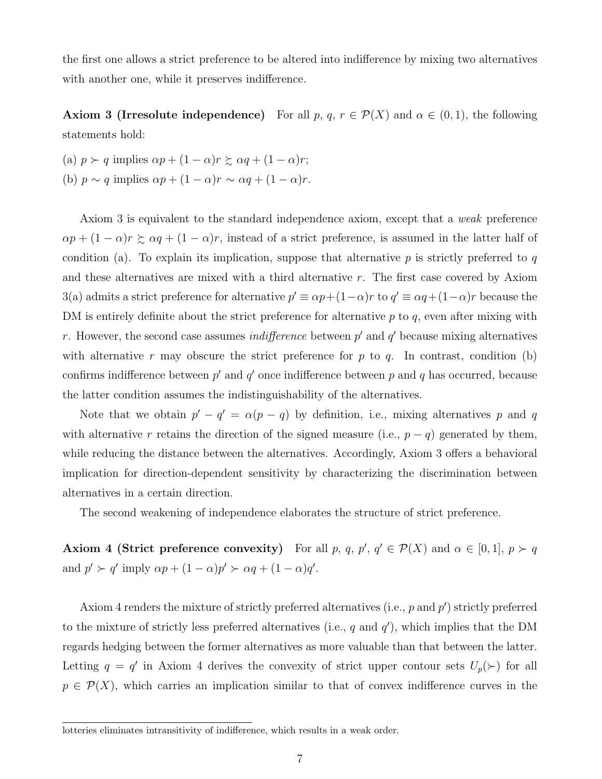the first one allows a strict preference to be altered into indifference by mixing two alternatives with another one, while it preserves indifference.

**Axiom 3 (Irresolute independence)** For all *p*,  $q, r \in \mathcal{P}(X)$  and  $\alpha \in (0,1)$ , the following statements hold:

(a)  $p \succ q$  implies  $\alpha p + (1 - \alpha)r \succsim \alpha q + (1 - \alpha)r$ ; (b)  $p \sim q$  implies  $\alpha p + (1 - \alpha)r \sim \alpha q + (1 - \alpha)r$ .

Axiom 3 is equivalent to the standard independence axiom, except that a *weak* preference  $\alpha p + (1 - \alpha)r \ge \alpha q + (1 - \alpha)r$ , instead of a strict preference, is assumed in the latter half of condition (a). To explain its implication, suppose that alternative *p* is strictly preferred to *q* and these alternatives are mixed with a third alternative *r*. The first case covered by Axiom 3(a) admits a strict preference for alternative  $p' \equiv \alpha p + (1 - \alpha)r$  to  $q' \equiv \alpha q + (1 - \alpha)r$  because the DM is entirely definite about the strict preference for alternative *p* to *q*, even after mixing with *r*. However, the second case assumes *indifference* between *p ′* and *q ′* because mixing alternatives with alternative  $r$  may obscure the strict preference for  $p$  to  $q$ . In contrast, condition (b) confirms indifference between  $p'$  and  $q'$  once indifference between  $p$  and  $q$  has occurred, because the latter condition assumes the indistinguishability of the alternatives.

Note that we obtain  $p' - q' = \alpha(p - q)$  by definition, i.e., mixing alternatives p and q with alternative *r* retains the direction of the signed measure (i.e.,  $p - q$ ) generated by them, while reducing the distance between the alternatives. Accordingly, Axiom 3 offers a behavioral implication for direction-dependent sensitivity by characterizing the discrimination between alternatives in a certain direction.

The second weakening of independence elaborates the structure of strict preference.

**Axiom 4 (Strict preference convexity)** For all *p*, *q*, *p'*,  $q' \in \mathcal{P}(X)$  and  $\alpha \in [0,1], p \succ q$ and  $p' \succ q'$  imply  $\alpha p + (1 - \alpha)p' \succ \alpha q + (1 - \alpha)q'.$ 

Axiom 4 renders the mixture of strictly preferred alternatives (i.e., *p* and *p ′* ) strictly preferred to the mixture of strictly less preferred alternatives (i.e., *q* and *q ′* ), which implies that the DM regards hedging between the former alternatives as more valuable than that between the latter. Letting  $q = q'$  in Axiom 4 derives the convexity of strict upper contour sets  $U_p(\succ)$  for all  $p \in \mathcal{P}(X)$ , which carries an implication similar to that of convex indifference curves in the

lotteries eliminates intransitivity of indifference, which results in a weak order.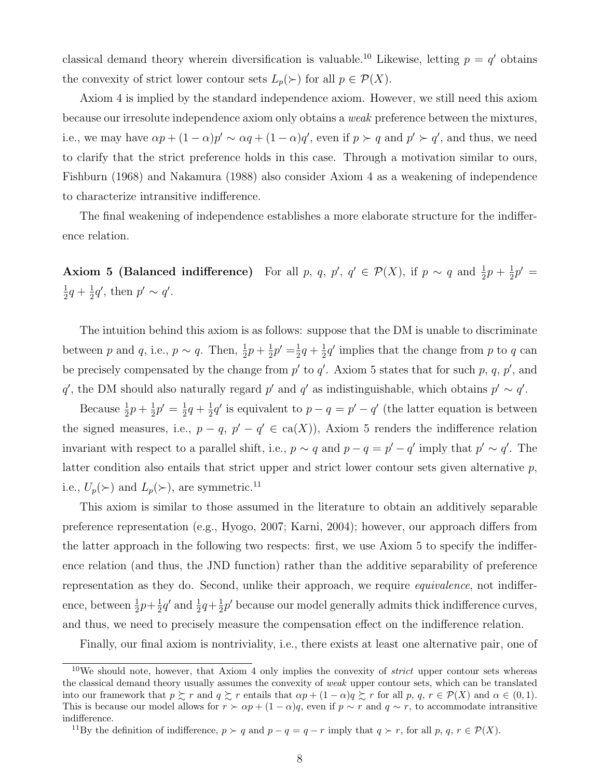classical demand theory wherein diversification is valuable.<sup>10</sup> Likewise, letting  $p = q'$  obtains the convexity of strict lower contour sets  $L_p(\succ)$  for all  $p \in \mathcal{P}(X)$ .

Axiom 4 is implied by the standard independence axiom. However, we still need this axiom because our irresolute independence axiom only obtains a *weak* preference between the mixtures, i.e., we may have  $\alpha p + (1 - \alpha)p' \sim \alpha q + (1 - \alpha)q'$ , even if  $p > q$  and  $p' > q'$ , and thus, we need to clarify that the strict preference holds in this case. Through a motivation similar to ours, Fishburn (1968) and Nakamura (1988) also consider Axiom 4 as a weakening of independence to characterize intransitive indifference.

The final weakening of independence establishes a more elaborate structure for the indifference relation.

**Axiom 5 (Balanced indifference)** For all *p*, *q*, *p*<sup>*'*</sup>, *q*<sup>*'*</sup>  $\in \mathcal{P}(X)$ , if  $p \sim q$  and  $\frac{1}{2}p + \frac{1}{2}$  $\frac{1}{2}p' =$ 1  $\frac{1}{2}q + \frac{1}{2}$  $\frac{1}{2}q'$ , then  $p' \sim q'$ .

The intuition behind this axiom is as follows: suppose that the DM is unable to discriminate between *p* and *q*, i.e.,  $p \sim q$ . Then,  $\frac{1}{2}p + \frac{1}{2}$  $\frac{1}{2}p' = \frac{1}{2}$  $rac{1}{2}q + \frac{1}{2}$  $\frac{1}{2}q'$  implies that the change from *p* to *q* can be precisely compensated by the change from  $p'$  to  $q'$ . Axiom 5 states that for such  $p, q, p'$ , and *q*<sup>*'*</sup>, the DM should also naturally regard *p*<sup>*'*</sup> and *q*<sup>*'*</sup> as indistinguishable, which obtains  $p' \sim q'$ .

Because  $\frac{1}{2}p + \frac{1}{2}$  $\frac{1}{2}p' = \frac{1}{2}$  $rac{1}{2}q + \frac{1}{2}$  $\frac{1}{2}q'$  is equivalent to  $p - q = p' - q'$  (the latter equation is between the signed measures, i.e.,  $p - q$ ,  $p' - q' \in ca(X)$ ), Axiom 5 renders the indifference relation invariant with respect to a parallel shift, i.e.,  $p \sim q$  and  $p - q = p' - q'$  imply that  $p' \sim q'$ . The latter condition also entails that strict upper and strict lower contour sets given alternative *p*, i.e.,  $U_p(\succ)$  and  $L_p(\succ)$ , are symmetric.<sup>11</sup>

This axiom is similar to those assumed in the literature to obtain an additively separable preference representation (e.g., Hyogo, 2007; Karni, 2004); however, our approach differs from the latter approach in the following two respects: first, we use Axiom 5 to specify the indifference relation (and thus, the JND function) rather than the additive separability of preference representation as they do. Second, unlike their approach, we require *equivalence*, not indifference, between  $\frac{1}{2}p + \frac{1}{2}$  $\frac{1}{2}q'$  and  $\frac{1}{2}q+\frac{1}{2}$  $\frac{1}{2}p'$  because our model generally admits thick indifference curves, and thus, we need to precisely measure the compensation effect on the indifference relation.

Finally, our final axiom is nontriviality, i.e., there exists at least one alternative pair, one of

<sup>10</sup>We should note, however, that Axiom 4 only implies the convexity of *strict* upper contour sets whereas the classical demand theory usually assumes the convexity of *weak* upper contour sets, which can be translated into our framework that  $p \succeq r$  and  $q \succeq r$  entails that  $\alpha p + (1 - \alpha)q \succeq r$  for all p,  $q, r \in \mathcal{P}(X)$  and  $\alpha \in (0, 1)$ . This is because our model allows for  $r > \alpha p + (1 - \alpha)q$ , even if  $p \sim r$  and  $q \sim r$ , to accommodate intransitive indifference.

<sup>&</sup>lt;sup>11</sup>By the definition of indifference,  $p \succ q$  and  $p - q = q - r$  imply that  $q \succ r$ , for all  $p, q, r \in \mathcal{P}(X)$ .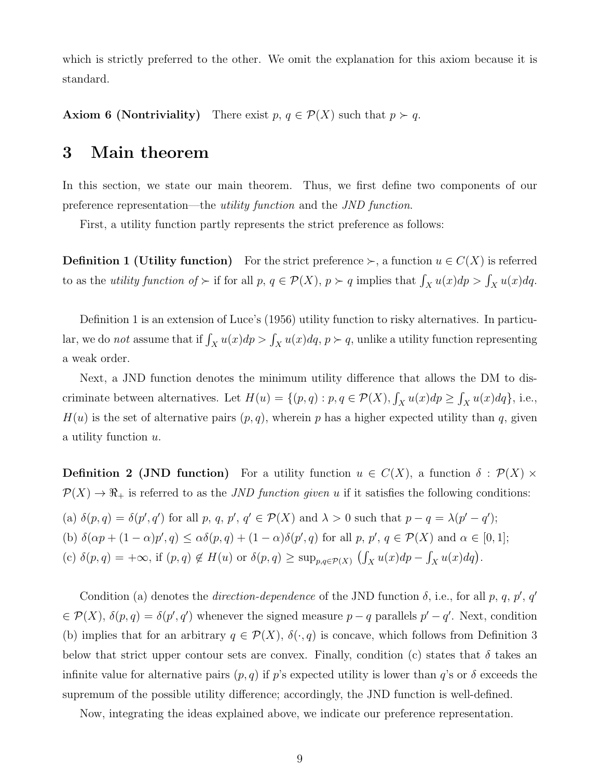which is strictly preferred to the other. We omit the explanation for this axiom because it is standard.

**Axiom 6 (Nontriviality)** There exist  $p, q \in \mathcal{P}(X)$  such that  $p \succ q$ .

### **3 Main theorem**

In this section, we state our main theorem. Thus, we first define two components of our preference representation—the *utility function* and the *JND function*.

First, a utility function partly represents the strict preference as follows:

**Definition 1 (Utility function)** For the strict preference  $\succ$ , a function  $u \in C(X)$  is referred to as the *utility function of*  $\succ$  if for all  $p, q \in \mathcal{P}(X), p \succ q$  implies that  $\int_X u(x) dp > \int_X u(x) dq$ .

Definition 1 is an extension of Luce's (1956) utility function to risky alternatives. In particular, we do *not* assume that if  $\int_X u(x)dp > \int_X u(x)dq$ ,  $p \succ q$ , unlike a utility function representing a weak order.

Next, a JND function denotes the minimum utility difference that allows the DM to discriminate between alternatives. Let  $H(u) = \{(p, q) : p, q \in \mathcal{P}(X), \int_X u(x) dp \ge \int_X u(x) dq\}$ , i.e.,  $H(u)$  is the set of alternative pairs  $(p, q)$ , wherein *p* has a higher expected utility than *q*, given a utility function *u*.

**Definition 2 (JND function)** For a utility function  $u \in C(X)$ , a function  $\delta : \mathcal{P}(X) \times$  $P(X) \to \mathbb{R}_+$  is referred to as the *JND function given u* if it satisfies the following conditions: (a)  $\delta(p,q) = \delta(p',q')$  for all p, q, p',  $q' \in \mathcal{P}(X)$  and  $\lambda > 0$  such that  $p - q = \lambda(p' - q')$ ; (b)  $\delta(\alpha p + (1 - \alpha)p', q) \leq \alpha \delta(p, q) + (1 - \alpha) \delta(p', q)$  for all p,  $p', q \in \mathcal{P}(X)$  and  $\alpha \in [0, 1]$ ;

(c)  $\delta(p,q) = +\infty$ , if  $(p,q) \notin H(u)$  or  $\delta(p,q) \ge \sup_{p,q \in \mathcal{P}(X)} (\int_X u(x) dp - \int_X u(x) dq)$ .

Condition (a) denotes the *direction-dependence* of the JND function  $\delta$ , i.e., for all  $p, q, p', q'$  $\in \mathcal{P}(X)$ ,  $\delta(p,q) = \delta(p',q')$  whenever the signed measure *p* – *q* parallels  $p' - q'$ . Next, condition (b) implies that for an arbitrary  $q \in \mathcal{P}(X)$ ,  $\delta(\cdot, q)$  is concave, which follows from Definition 3 below that strict upper contour sets are convex. Finally, condition (c) states that  $\delta$  takes an infinite value for alternative pairs  $(p, q)$  if *p*'s expected utility is lower than *q*'s or  $\delta$  exceeds the supremum of the possible utility difference; accordingly, the JND function is well-defined.

Now, integrating the ideas explained above, we indicate our preference representation.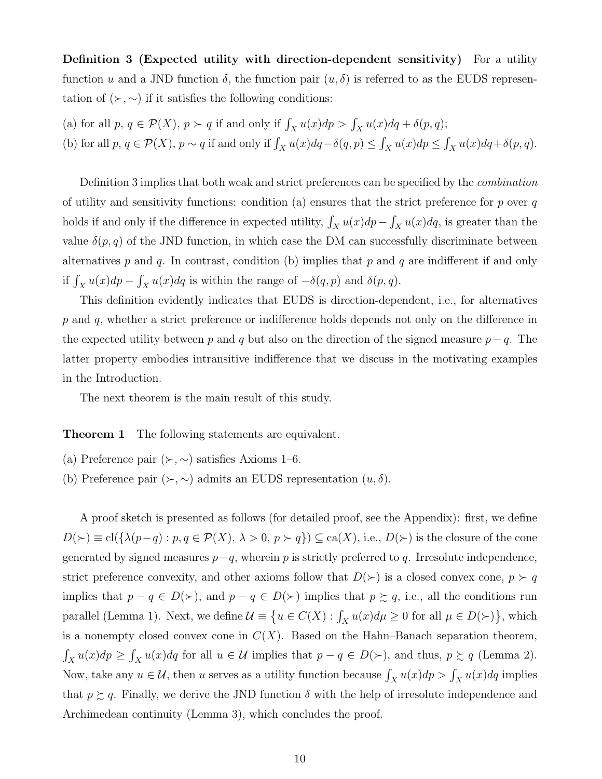**Definition 3 (Expected utility with direction-dependent sensitivity)** For a utility function *u* and a JND function *δ*, the function pair (*u, δ*) is referred to as the EUDS representation of  $(\succ, \sim)$  if it satisfies the following conditions:

- (a) for all  $p, q \in \mathcal{P}(X), p \succ q$  if and only if  $\int_X u(x) dp > \int_X u(x) dq + \delta(p, q)$ ;
- (b) for all  $p, q \in \mathcal{P}(X), p \sim q$  if and only if  $\int_X u(x) dq \delta(q, p) \le \int_X u(x) dp \le \int_X u(x) dq + \delta(p, q)$ .

Definition 3 implies that both weak and strict preferences can be specified by the *combination* of utility and sensitivity functions: condition (a) ensures that the strict preference for *p* over *q* holds if and only if the difference in expected utility,  $\int_X u(x)dp - \int_X u(x)dq$ , is greater than the value  $\delta(p,q)$  of the JND function, in which case the DM can successfully discriminate between alternatives *p* and *q*. In contrast, condition (b) implies that *p* and *q* are indifferent if and only if  $\int_X u(x)dp - \int_X u(x)dq$  is within the range of  $-\delta(q, p)$  and  $\delta(p, q)$ .

This definition evidently indicates that EUDS is direction-dependent, i.e., for alternatives *p* and *q*, whether a strict preference or indifference holds depends not only on the difference in the expected utility between *p* and *q* but also on the direction of the signed measure  $p - q$ . The latter property embodies intransitive indifference that we discuss in the motivating examples in the Introduction.

The next theorem is the main result of this study.

**Theorem 1** The following statements are equivalent.

- (a) Preference pair  $(\succ, \sim)$  satisfies Axioms 1–6.
- (b) Preference pair  $(\succ, \sim)$  admits an EUDS representation  $(u, \delta)$ .

A proof sketch is presented as follows (for detailed proof, see the Appendix): first, we define  $D(\succ) \equiv cl(\{\lambda(p-q) : p, q \in \mathcal{P}(X), \lambda > 0, p \succ q\}) \subseteq ca(X),$  i.e.,  $D(\succ)$  is the closure of the cone generated by signed measures *p−q*, wherein *p* is strictly preferred to *q*. Irresolute independence, strict preference convexity, and other axioms follow that  $D(\succ)$  is a closed convex cone,  $p \succ q$ implies that  $p - q \in D(\succ)$ , and  $p - q \in D(\succ)$  implies that  $p \succsim q$ , i.e., all the conditions run parallel (Lemma 1). Next, we define  $\mathcal{U} \equiv \{u \in C(X) : \int_X u(x) d\mu \ge 0 \text{ for all } \mu \in D(\succ)\}\$ , which is a nonempty closed convex cone in  $C(X)$ . Based on the Hahn–Banach separation theorem,  $\int_X u(x) dp \geq \int_X u(x) dq$  for all  $u \in \mathcal{U}$  implies that  $p - q \in D(\succ)$ , and thus,  $p \succsim q$  (Lemma 2). Now, take any  $u \in \mathcal{U}$ , then *u* serves as a utility function because  $\int_X u(x) dp > \int_X u(x) dq$  implies that  $p \geq q$ . Finally, we derive the JND function  $\delta$  with the help of irresolute independence and Archimedean continuity (Lemma 3), which concludes the proof.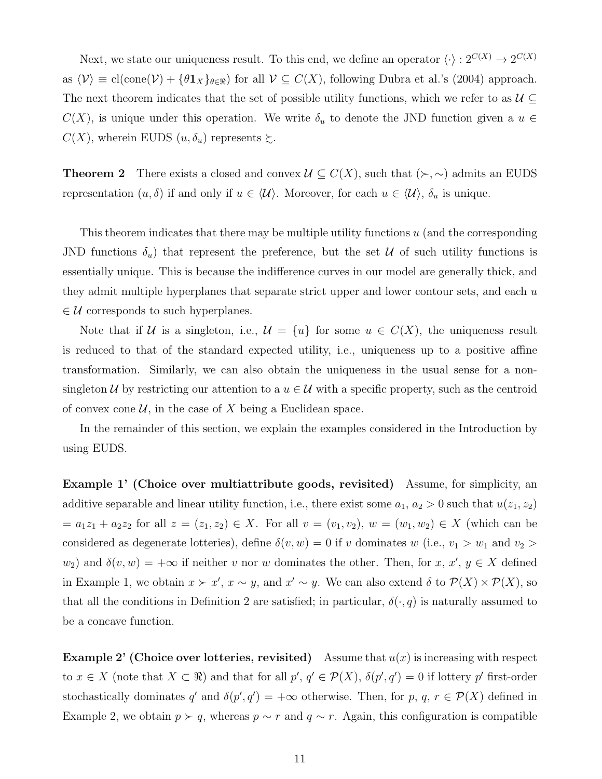Next, we state our uniqueness result. To this end, we define an operator  $\langle \cdot \rangle : 2^{C(X)} \to 2^{C(X)}$ as  $\langle V \rangle \equiv$  cl(cone( $V$ ) +  $\{\theta \mathbf{1}_X\}_{\theta \in \Re}$ ) for all  $V \subseteq C(X)$ , following Dubra et al.'s (2004) approach. The next theorem indicates that the set of possible utility functions, which we refer to as  $\mathcal{U} \subseteq$  $C(X)$ , is unique under this operation. We write  $\delta_u$  to denote the JND function given a  $u \in$  $C(X)$ , wherein EUDS  $(u, \delta_u)$  represents  $\succsim$ .

**Theorem 2** There exists a closed and convex  $\mathcal{U} \subseteq C(X)$ , such that  $(\succ, \sim)$  admits an EUDS representation  $(u, \delta)$  if and only if  $u \in \langle \mathcal{U} \rangle$ . Moreover, for each  $u \in \langle \mathcal{U} \rangle$ ,  $\delta_u$  is unique.

This theorem indicates that there may be multiple utility functions *u* (and the corresponding JND functions  $\delta_u$ ) that represent the preference, but the set  $\mathcal U$  of such utility functions is essentially unique. This is because the indifference curves in our model are generally thick, and they admit multiple hyperplanes that separate strict upper and lower contour sets, and each *u ∈ U* corresponds to such hyperplanes.

Note that if *U* is a singleton, i.e.,  $\mathcal{U} = \{u\}$  for some  $u \in C(X)$ , the uniqueness result is reduced to that of the standard expected utility, i.e., uniqueness up to a positive affine transformation. Similarly, we can also obtain the uniqueness in the usual sense for a nonsingleton *U* by restricting our attention to a  $u \in U$  with a specific property, such as the centroid of convex cone  $U$ , in the case of  $X$  being a Euclidean space.

In the remainder of this section, we explain the examples considered in the Introduction by using EUDS.

**Example 1' (Choice over multiattribute goods, revisited)** Assume, for simplicity, an additive separable and linear utility function, i.e., there exist some  $a_1, a_2 > 0$  such that  $u(z_1, z_2)$  $= a_1z_1 + a_2z_2$  for all  $z = (z_1, z_2) \in X$ . For all  $v = (v_1, v_2)$ ,  $w = (w_1, w_2) \in X$  (which can be considered as degenerate lotteries), define  $\delta(v, w) = 0$  if *v* dominates *w* (i.e.,  $v_1 > w_1$  and  $v_2 >$  $w_2$ ) and  $\delta(v, w) = +\infty$  if neither *v* nor *w* dominates the other. Then, for *x*, *x'*, *y*  $\in X$  defined in Example 1, we obtain  $x \succ x'$ ,  $x \sim y$ , and  $x' \sim y$ . We can also extend  $\delta$  to  $\mathcal{P}(X) \times \mathcal{P}(X)$ , so that all the conditions in Definition 2 are satisfied; in particular,  $\delta(\cdot, q)$  is naturally assumed to be a concave function.

**Example 2' (Choice over lotteries, revisited)** Assume that  $u(x)$  is increasing with respect to  $x \in X$  (note that  $X \subset \mathbb{R}$ ) and that for all  $p', q' \in \mathcal{P}(X)$ ,  $\delta(p', q') = 0$  if lottery p' first-order stochastically dominates  $q'$  and  $\delta(p', q') = +\infty$  otherwise. Then, for  $p, q, r \in \mathcal{P}(X)$  defined in Example 2, we obtain  $p \succ q$ , whereas  $p \sim r$  and  $q \sim r$ . Again, this configuration is compatible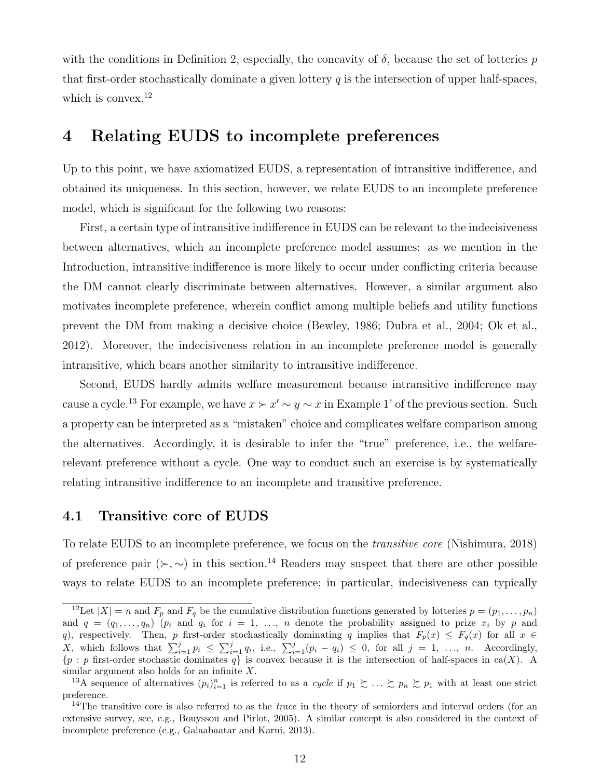with the conditions in Definition 2, especially, the concavity of  $\delta$ , because the set of lotteries  $p$ that first-order stochastically dominate a given lottery  $q$  is the intersection of upper half-spaces, which is convex.<sup>12</sup>

### **4 Relating EUDS to incomplete preferences**

Up to this point, we have axiomatized EUDS, a representation of intransitive indifference, and obtained its uniqueness. In this section, however, we relate EUDS to an incomplete preference model, which is significant for the following two reasons:

First, a certain type of intransitive indifference in EUDS can be relevant to the indecisiveness between alternatives, which an incomplete preference model assumes: as we mention in the Introduction, intransitive indifference is more likely to occur under conflicting criteria because the DM cannot clearly discriminate between alternatives. However, a similar argument also motivates incomplete preference, wherein conflict among multiple beliefs and utility functions prevent the DM from making a decisive choice (Bewley, 1986; Dubra et al., 2004; Ok et al., 2012). Moreover, the indecisiveness relation in an incomplete preference model is generally intransitive, which bears another similarity to intransitive indifference.

Second, EUDS hardly admits welfare measurement because intransitive indifference may cause a cycle.<sup>13</sup> For example, we have  $x \succ x' \sim y \sim x$  in Example 1' of the previous section. Such a property can be interpreted as a "mistaken" choice and complicates welfare comparison among the alternatives. Accordingly, it is desirable to infer the "true" preference, i.e., the welfarerelevant preference without a cycle. One way to conduct such an exercise is by systematically relating intransitive indifference to an incomplete and transitive preference.

### **4.1 Transitive core of EUDS**

To relate EUDS to an incomplete preference, we focus on the *transitive core* (Nishimura, 2018) of preference pair  $(\succ, \sim)$  in this section.<sup>14</sup> Readers may suspect that there are other possible ways to relate EUDS to an incomplete preference; in particular, indecisiveness can typically

<sup>&</sup>lt;sup>12</sup>Let  $|X| = n$  and  $F_p$  and  $F_q$  be the cumulative distribution functions generated by lotteries  $p = (p_1, \ldots, p_n)$ and  $q = (q_1, \ldots, q_n)$  ( $p_i$  and  $q_i$  for  $i = 1, \ldots, n$  denote the probability assigned to prize  $x_i$  by  $p$  and *q*), respectively. Then, *p* first-order stochastically dominating *q* implies that  $F_p(x) \leq F_q(x)$  for all  $x \in$ X, which follows that  $\sum_{i=1}^{j} p_i \leq \sum_{i=1}^{j} q_i$ , i.e.,  $\sum_{i=1}^{j} (p_i - q_i) \leq 0$ , for all  $j = 1, ..., n$ . Accordingly, *{p* : *p* first-order stochastic dominates *q}* is convex because it is the intersection of half-spaces in ca(*X*). A similar argument also holds for an infinite *X*.

<sup>&</sup>lt;sup>13</sup>A sequence of alternatives  $(p_i)_{i=1}^n$  is referred to as a *cycle* if  $p_1 \succsim \ldots \succsim p_n \succsim p_1$  with at least one strict preference.

<sup>&</sup>lt;sup>14</sup>The transitive core is also referred to as the *trace* in the theory of semiorders and interval orders (for an extensive survey, see, e.g., Bouyssou and Pirlot, 2005). A similar concept is also considered in the context of incomplete preference (e.g., Galaabaatar and Karni, 2013).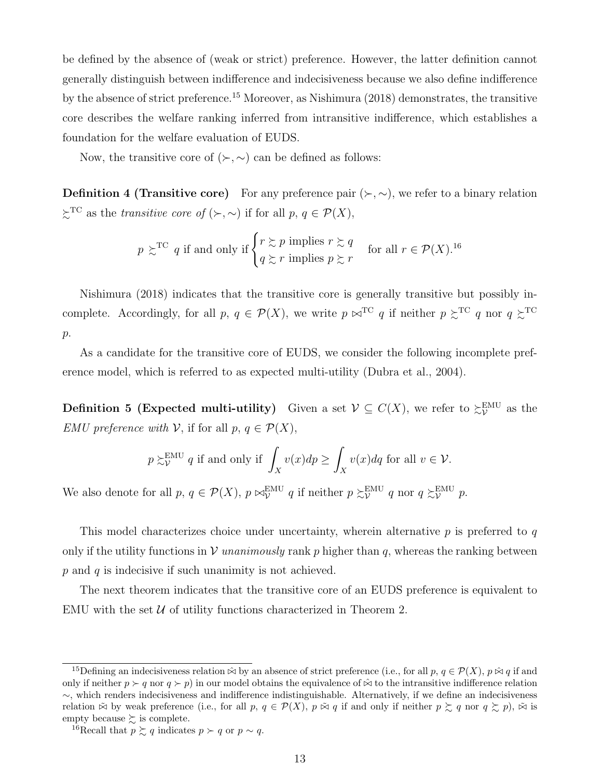be defined by the absence of (weak or strict) preference. However, the latter definition cannot generally distinguish between indifference and indecisiveness because we also define indifference by the absence of strict preference.<sup>15</sup> Moreover, as Nishimura (2018) demonstrates, the transitive core describes the welfare ranking inferred from intransitive indifference, which establishes a foundation for the welfare evaluation of EUDS.

Now, the transitive core of  $(\succ,\sim)$  can be defined as follows:

**Definition 4 (Transitive core)** For any preference pair  $(\succ, \sim)$ , we refer to a binary relation  $\succsim^{\text{TC}}$  as the *transitive core of*  $(\succ, \sim)$  if for all  $p, q \in \mathcal{P}(X)$ ,

$$
p \gtrsim^{TC} q
$$
 if and only if  $\begin{cases} r \gtrsim p \text{ implies } r \gtrsim q \\ q \gtrsim r \text{ implies } p \gtrsim r \end{cases}$  for all  $r \in \mathcal{P}(X)$ .<sup>16</sup>

Nishimura (2018) indicates that the transitive core is generally transitive but possibly incomplete. Accordingly, for all  $p, q \in \mathcal{P}(X)$ , we write  $p \bowtie^{\text{TC}} q$  if neither  $p \succsim^{\text{TC}} q$  nor  $q \succsim^{\text{TC}} q$ *p*.

As a candidate for the transitive core of EUDS, we consider the following incomplete preference model, which is referred to as expected multi-utility (Dubra et al., 2004).

**Definition 5 (Expected multi-utility)** Given a set  $V \subseteq C(X)$ , we refer to  $\gtrsim_V^{\text{EMU}}$  $\frac{EMU}{V}$  as the *EMU preference with*  $V$ , if for all  $p, q \in \mathcal{P}(X)$ ,

$$
p \gtrsim_{\mathcal{V}}^{\text{EMU}} q
$$
 if and only if  $\int_{X} v(x) dp \ge \int_{X} v(x) dq$  for all  $v \in \mathcal{V}$ .

We also denote for all  $p, q \in \mathcal{P}(X), p \bowtie_{\mathcal{V}}^{\text{EMU}} q$  if neither  $p \gtrsim_{\mathcal{V}}^{\text{EMU}}$  $\sum_{\mathcal{V}}^{\text{EMU}} q \text{ nor } q \succsim_{\mathcal{V}}^{\text{EMU}}$ *V p*.

This model characterizes choice under uncertainty, wherein alternative *p* is preferred to *q* only if the utility functions in  $V$  *unanimously* rank p higher than q, whereas the ranking between *p* and *q* is indecisive if such unanimity is not achieved.

The next theorem indicates that the transitive core of an EUDS preference is equivalent to EMU with the set  $U$  of utility functions characterized in Theorem 2.

<sup>&</sup>lt;sup>15</sup>Defining an indecisiveness relation  $\hat{\infty}$  by an absence of strict preference (i.e., for all  $p, q \in \mathcal{P}(X)$ ,  $p \hat{\infty} q$  if and only if neither  $p \succ q$  nor  $q \succ p$ ) in our model obtains the equivalence of  $\hat{\bowtie}$  to the intransitive indifference relation *∼*, which renders indecisiveness and indifference indistinguishable. Alternatively, if we define an indecisiveness relation  $\tilde{\bowtie}$  by weak preference (i.e., for all  $p, q \in \mathcal{P}(X), p \tilde{\bowtie} q$  if and only if neither  $p \succsim q$  nor  $q \succsim p$ ),  $\tilde{\bowtie}$  is empty because  $\succsim$  is complete.

<sup>&</sup>lt;sup>16</sup>Recall that  $p \succeq q$  indicates  $p \succ q$  or  $p \sim q$ .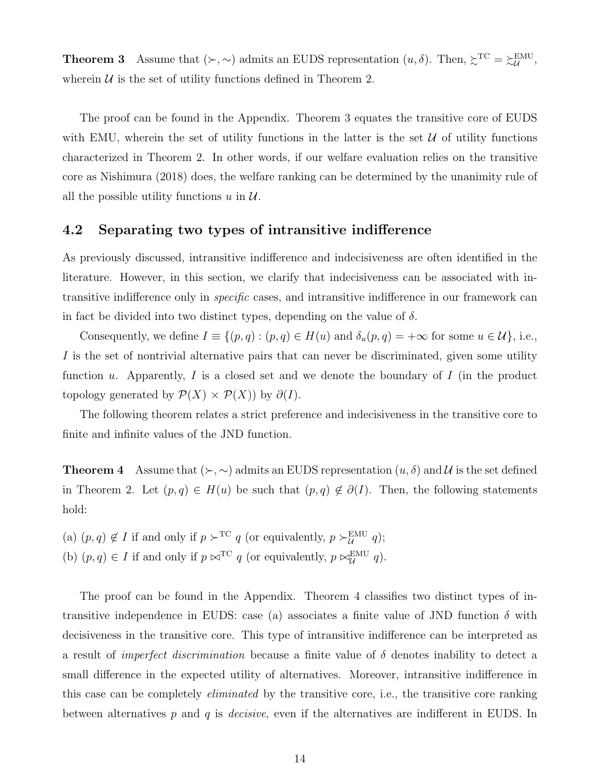**Theorem 3** Assume that  $(\succ,\sim)$  admits an EUDS representation  $(u, \delta)$ . Then,  $\succsim^{\text{TC}} \geq \succsim^{\text{EMU}}$ *U* , wherein  $U$  is the set of utility functions defined in Theorem 2.

The proof can be found in the Appendix. Theorem 3 equates the transitive core of EUDS with EMU, wherein the set of utility functions in the latter is the set  $U$  of utility functions characterized in Theorem 2. In other words, if our welfare evaluation relies on the transitive core as Nishimura (2018) does, the welfare ranking can be determined by the unanimity rule of all the possible utility functions  $u$  in  $\mathcal{U}$ .

#### **4.2 Separating two types of intransitive indifference**

As previously discussed, intransitive indifference and indecisiveness are often identified in the literature. However, in this section, we clarify that indecisiveness can be associated with intransitive indifference only in *specific* cases, and intransitive indifference in our framework can in fact be divided into two distinct types, depending on the value of  $\delta$ .

Consequently, we define  $I \equiv \{(p, q) : (p, q) \in H(u) \text{ and } \delta_u(p, q) = +\infty \text{ for some } u \in \mathcal{U}\}\)$ , i.e., *I* is the set of nontrivial alternative pairs that can never be discriminated, given some utility function *u*. Apparently, *I* is a closed set and we denote the boundary of *I* (in the product topology generated by  $\mathcal{P}(X) \times \mathcal{P}(X)$  by  $\partial(I)$ .

The following theorem relates a strict preference and indecisiveness in the transitive core to finite and infinite values of the JND function.

**Theorem 4** Assume that  $(\succ,\sim)$  admits an EUDS representation  $(u, \delta)$  and  $\mathcal{U}$  is the set defined in Theorem 2. Let  $(p, q) \in H(u)$  be such that  $(p, q) \notin \partial(I)$ . Then, the following statements hold:

(a)  $(p, q) \notin I$  if and only if  $p \succ^{\text{TC}} q$  (or equivalently,  $p \succ^{\text{EMU}}_U q$ ); (b)  $(p, q) \in I$  if and only if  $p \bowtie^{\text{TC}} q$  (or equivalently,  $p \bowtie^{\text{EMU}}_{\mathcal{U}} q$ ).

The proof can be found in the Appendix. Theorem 4 classifies two distinct types of intransitive independence in EUDS: case (a) associates a finite value of JND function  $\delta$  with decisiveness in the transitive core. This type of intransitive indifference can be interpreted as a result of *imperfect discrimination* because a finite value of *δ* denotes inability to detect a small difference in the expected utility of alternatives. Moreover, intransitive indifference in this case can be completely *eliminated* by the transitive core, i.e., the transitive core ranking between alternatives *p* and *q* is *decisive*, even if the alternatives are indifferent in EUDS. In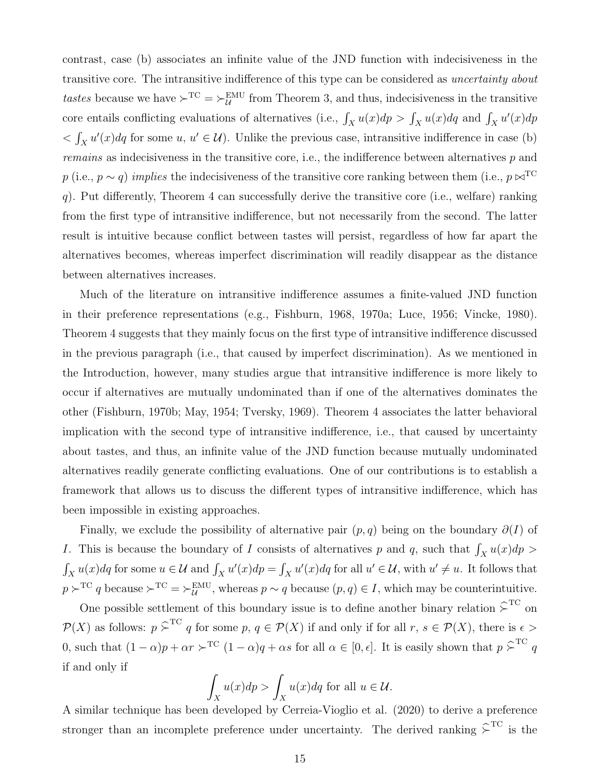contrast, case (b) associates an infinite value of the JND function with indecisiveness in the transitive core. The intransitive indifference of this type can be considered as *uncertainty about tastes* because we have  $\succ^{\text{TC}} = \succ^{\text{EMU}}_{\mathcal{U}}$  from Theorem 3, and thus, indecisiveness in the transitive core entails conflicting evaluations of alternatives (i.e.,  $\int_X u(x) dp > \int_X u(x) dq$  and  $\int_X u'(x) dp$  $\langle \int_X u'(x) \, dq$  for some *u*,  $u' \in \mathcal{U}$ ). Unlike the previous case, intransitive indifference in case (b) *remains* as indecisiveness in the transitive core, i.e., the indifference between alternatives *p* and *p* (i.e., *p*  $\sim$  *q*) *implies* the indecisiveness of the transitive core ranking between them (i.e., *p*  $\bowtie^{\text{TC}}$ *q*). Put differently, Theorem 4 can successfully derive the transitive core (i.e., welfare) ranking from the first type of intransitive indifference, but not necessarily from the second. The latter result is intuitive because conflict between tastes will persist, regardless of how far apart the alternatives becomes, whereas imperfect discrimination will readily disappear as the distance between alternatives increases.

Much of the literature on intransitive indifference assumes a finite-valued JND function in their preference representations (e.g., Fishburn, 1968, 1970a; Luce, 1956; Vincke, 1980). Theorem 4 suggests that they mainly focus on the first type of intransitive indifference discussed in the previous paragraph (i.e., that caused by imperfect discrimination). As we mentioned in the Introduction, however, many studies argue that intransitive indifference is more likely to occur if alternatives are mutually undominated than if one of the alternatives dominates the other (Fishburn, 1970b; May, 1954; Tversky, 1969). Theorem 4 associates the latter behavioral implication with the second type of intransitive indifference, i.e., that caused by uncertainty about tastes, and thus, an infinite value of the JND function because mutually undominated alternatives readily generate conflicting evaluations. One of our contributions is to establish a framework that allows us to discuss the different types of intransitive indifference, which has been impossible in existing approaches.

Finally, we exclude the possibility of alternative pair (*p, q*) being on the boundary *∂*(*I*) of *I*. This is because the boundary of *I* consists of alternatives *p* and *q*, such that  $\int_X u(x) dp$  $\int_X u(x) dq$  for some  $u \in \mathcal{U}$  and  $\int_X u'(x) dp = \int_X u'(x) dq$  for all  $u' \in \mathcal{U}$ , with  $u' \neq u$ . It follows that  $p \succ^{\text{TC}} q$  because  $\succ^{\text{TC}} = \succ^{\text{EMU}}_U$ , whereas  $p \sim q$  because  $(p, q) \in I$ , which may be counterintuitive.

One possible settlement of this boundary issue is to define another binary relation  $\hat{\succ}^{TC}$  on  $P(X)$  as follows:  $p \geq T^C q$  for some  $p, q \in P(X)$  if and only if for all  $r, s \in P(X)$ , there is  $\epsilon >$ 0, such that  $(1 - \alpha)p + \alpha r \succ^{TC} (1 - \alpha)q + \alpha s$  for all  $\alpha \in [0, \epsilon]$ . It is easily shown that  $p \succ^{TC} q$ if and only if

$$
\int_X u(x)dp > \int_X u(x)dq
$$
 for all  $u \in \mathcal{U}$ .

A similar technique has been developed by Cerreia-Vioglio et al. (2020) to derive a preference stronger than an incomplete preference under uncertainty. The derived ranking  $\hat{\succ}^{\text{TC}}$  is the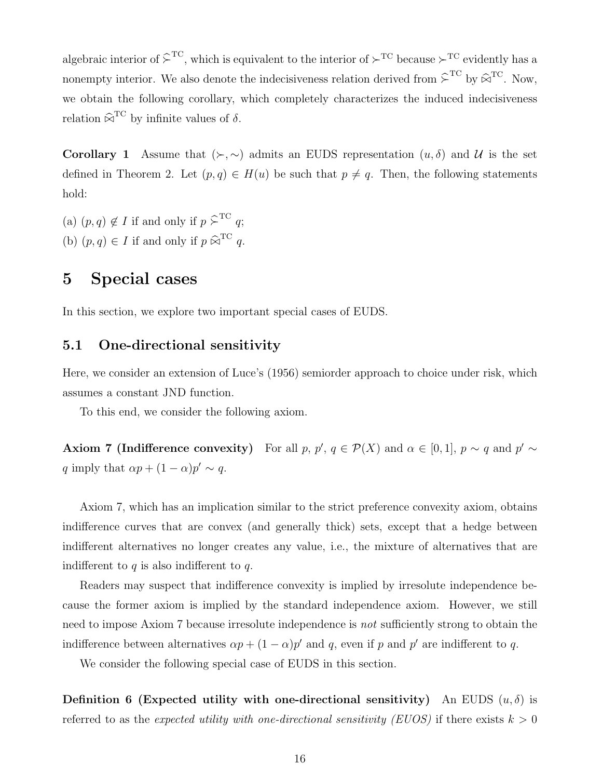algebraic interior of  $\hat{\succ}^{\text{TC}}$ , which is equivalent to the interior of  $\succ^{\text{TC}}$  because  $\succ^{\text{TC}}$  evidently has a nonempty interior. We also denote the indecisiveness relation derived from  $\hat{\succ}^{TC}$  by  $\hat{\bowtie}^{TC}$ . Now, we obtain the following corollary, which completely characterizes the induced indecisiveness relation  $\widehat{\bowtie}^{\text{TC}}$  by infinite values of  $\delta$ .

**Corollary 1** Assume that  $(\succ,\sim)$  admits an EUDS representation  $(u,\delta)$  and  $\mathcal{U}$  is the set defined in Theorem 2. Let  $(p, q) \in H(u)$  be such that  $p \neq q$ . Then, the following statements hold:

(a)  $(p, q) \notin I$  if and only if  $p \geq^{\text{TC}} q$ ; (b)  $(p, q) \in I$  if and only if  $p \widehat{\bowtie}^{\text{TC}} q$ .

### **5 Special cases**

In this section, we explore two important special cases of EUDS.

### **5.1 One-directional sensitivity**

Here, we consider an extension of Luce's (1956) semiorder approach to choice under risk, which assumes a constant JND function.

To this end, we consider the following axiom.

**Axiom 7 (Indifference convexity)** For all  $p, p', q \in \mathcal{P}(X)$  and  $\alpha \in [0, 1], p \sim q$  and  $p' \sim$ *q* imply that  $\alpha p + (1 - \alpha)p' \sim q$ .

Axiom 7, which has an implication similar to the strict preference convexity axiom, obtains indifference curves that are convex (and generally thick) sets, except that a hedge between indifferent alternatives no longer creates any value, i.e., the mixture of alternatives that are indifferent to *q* is also indifferent to *q*.

Readers may suspect that indifference convexity is implied by irresolute independence because the former axiom is implied by the standard independence axiom. However, we still need to impose Axiom 7 because irresolute independence is *not* sufficiently strong to obtain the indifference between alternatives  $\alpha p + (1 - \alpha)p'$  and q, even if p and p' are indifferent to q.

We consider the following special case of EUDS in this section.

**Definition 6 (Expected utility with one-directional sensitivity)** An EUDS  $(u, \delta)$  is referred to as the *expected utility with one-directional sensitivity (EUOS)* if there exists  $k > 0$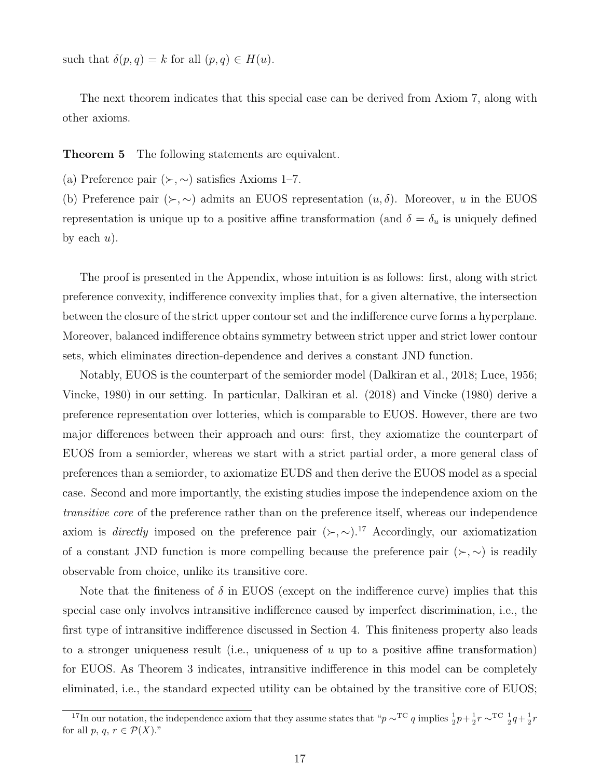such that  $\delta(p, q) = k$  for all  $(p, q) \in H(u)$ .

The next theorem indicates that this special case can be derived from Axiom 7, along with other axioms.

**Theorem 5** The following statements are equivalent.

(a) Preference pair  $(\succ, \sim)$  satisfies Axioms 1–7.

(b) Preference pair  $(\succ, \sim)$  admits an EUOS representation  $(u, \delta)$ . Moreover, *u* in the EUOS representation is unique up to a positive affine transformation (and  $\delta = \delta_u$  is uniquely defined by each  $u$ ).

The proof is presented in the Appendix, whose intuition is as follows: first, along with strict preference convexity, indifference convexity implies that, for a given alternative, the intersection between the closure of the strict upper contour set and the indifference curve forms a hyperplane. Moreover, balanced indifference obtains symmetry between strict upper and strict lower contour sets, which eliminates direction-dependence and derives a constant JND function.

Notably, EUOS is the counterpart of the semiorder model (Dalkiran et al., 2018; Luce, 1956; Vincke, 1980) in our setting. In particular, Dalkiran et al. (2018) and Vincke (1980) derive a preference representation over lotteries, which is comparable to EUOS. However, there are two major differences between their approach and ours: first, they axiomatize the counterpart of EUOS from a semiorder, whereas we start with a strict partial order, a more general class of preferences than a semiorder, to axiomatize EUDS and then derive the EUOS model as a special case. Second and more importantly, the existing studies impose the independence axiom on the *transitive core* of the preference rather than on the preference itself, whereas our independence axiom is *directly* imposed on the preference pair  $(\succ, \sim)$ .<sup>17</sup> Accordingly, our axiomatization of a constant JND function is more compelling because the preference pair  $(\succ, \sim)$  is readily observable from choice, unlike its transitive core.

Note that the finiteness of  $\delta$  in EUOS (except on the indifference curve) implies that this special case only involves intransitive indifference caused by imperfect discrimination, i.e., the first type of intransitive indifference discussed in Section 4. This finiteness property also leads to a stronger uniqueness result (i.e., uniqueness of *u* up to a positive affine transformation) for EUOS. As Theorem 3 indicates, intransitive indifference in this model can be completely eliminated, i.e., the standard expected utility can be obtained by the transitive core of EUOS;

<sup>&</sup>lt;sup>17</sup>In our notation, the independence axiom that they assume states that " $p \sim^{\text{TC}} q$  implies  $\frac{1}{2}p + \frac{1}{2}r \sim^{\text{TC}} \frac{1}{2}q + \frac{1}{2}r$ for all  $p, q, r \in \mathcal{P}(X)$ ."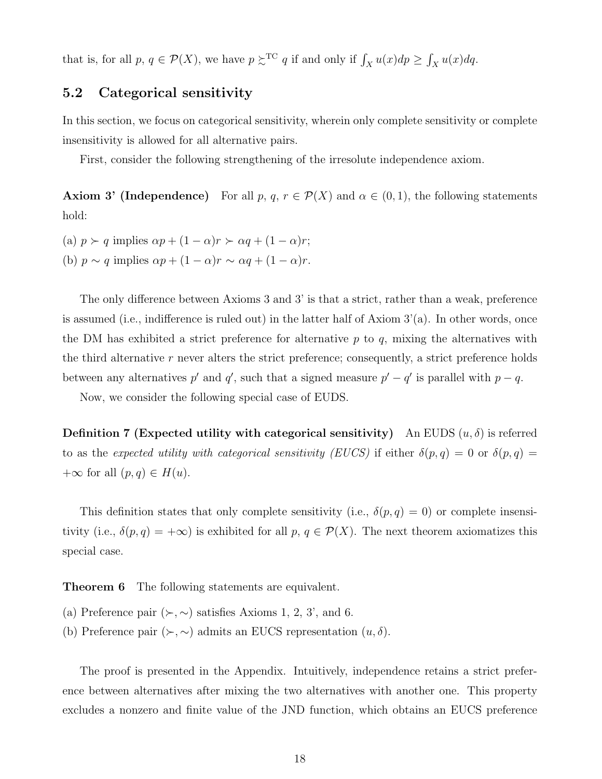that is, for all *p*,  $q \in \mathcal{P}(X)$ , we have  $p \geq C^{\text{TC}} q$  if and only if  $\int_X u(x) dp \geq \int_X u(x) dq$ .

### **5.2 Categorical sensitivity**

In this section, we focus on categorical sensitivity, wherein only complete sensitivity or complete insensitivity is allowed for all alternative pairs.

First, consider the following strengthening of the irresolute independence axiom.

**Axiom 3' (Independence)** For all *p*,  $q, r \in \mathcal{P}(X)$  and  $\alpha \in (0,1)$ , the following statements hold:

(a)  $p \succ q$  implies  $\alpha p + (1 - \alpha)r \succ \alpha q + (1 - \alpha)r$ ; (b)  $p \sim q$  implies  $\alpha p + (1 - \alpha)r \sim \alpha q + (1 - \alpha)r$ .

The only difference between Axioms 3 and 3' is that a strict, rather than a weak, preference is assumed (i.e., indifference is ruled out) in the latter half of Axiom 3'(a). In other words, once the DM has exhibited a strict preference for alternative *p* to *q*, mixing the alternatives with the third alternative *r* never alters the strict preference; consequently, a strict preference holds between any alternatives  $p'$  and  $q'$ , such that a signed measure  $p' - q'$  is parallel with  $p - q$ .

Now, we consider the following special case of EUDS.

**Definition 7 (Expected utility with categorical sensitivity)** An EUDS  $(u, \delta)$  is referred to as the *expected utility with categorical sensitivity (EUCS)* if either  $\delta(p,q) = 0$  or  $\delta(p,q) = 0$  $+\infty$  for all  $(p, q) \in H(u)$ .

This definition states that only complete sensitivity (i.e.,  $\delta(p,q) = 0$ ) or complete insensitivity (i.e.,  $\delta(p,q) = +\infty$ ) is exhibited for all  $p, q \in \mathcal{P}(X)$ . The next theorem axiomatizes this special case.

**Theorem 6** The following statements are equivalent.

- (a) Preference pair  $(\succ, \sim)$  satisfies Axioms 1, 2, 3', and 6.
- (b) Preference pair  $(\succ, \sim)$  admits an EUCS representation  $(u, \delta)$ .

The proof is presented in the Appendix. Intuitively, independence retains a strict preference between alternatives after mixing the two alternatives with another one. This property excludes a nonzero and finite value of the JND function, which obtains an EUCS preference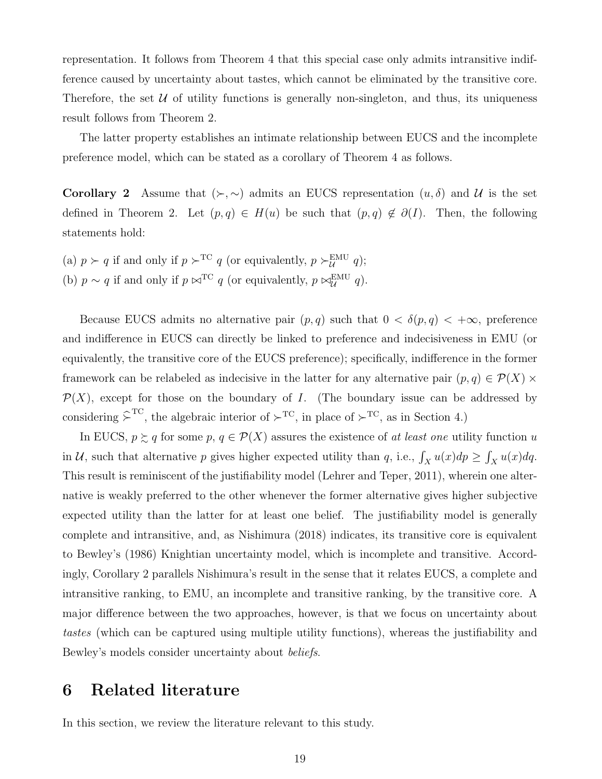representation. It follows from Theorem 4 that this special case only admits intransitive indifference caused by uncertainty about tastes, which cannot be eliminated by the transitive core. Therefore, the set  $U$  of utility functions is generally non-singleton, and thus, its uniqueness result follows from Theorem 2.

The latter property establishes an intimate relationship between EUCS and the incomplete preference model, which can be stated as a corollary of Theorem 4 as follows.

**Corollary 2** Assume that  $(\succ,\sim)$  admits an EUCS representation  $(u,\delta)$  and *U* is the set defined in Theorem 2. Let  $(p,q) \in H(u)$  be such that  $(p,q) \notin \partial(I)$ . Then, the following statements hold:

(a)  $p \succ q$  if and only if  $p \succ^{\text{TC}} q$  (or equivalently,  $p \succ^{\text{EMU}}_U q$ ); (b)  $p \sim q$  if and only if  $p \bowtie^{\text{TC}} q$  (or equivalently,  $p \bowtie^{\text{EMU}}_{\mathcal{U}} q$ ).

Because EUCS admits no alternative pair  $(p, q)$  such that  $0 < \delta(p, q) < +\infty$ , preference and indifference in EUCS can directly be linked to preference and indecisiveness in EMU (or equivalently, the transitive core of the EUCS preference); specifically, indifference in the former framework can be relabeled as indecisive in the latter for any alternative pair  $(p, q) \in \mathcal{P}(X) \times$  $P(X)$ , except for those on the boundary of *I*. (The boundary issue can be addressed by considering  $\hat{\succ}^{\text{TC}}$ , the algebraic interior of  $\succ^{\text{TC}}$ , in place of  $\succ^{\text{TC}}$ , as in Section 4.)

In EUCS,  $p \ge q$  for some  $p, q \in \mathcal{P}(X)$  assures the existence of *at least one* utility function *u* in *U*, such that alternative *p* gives higher expected utility than *q*, i.e.,  $\int_X u(x) dp \ge \int_X u(x) dq$ . This result is reminiscent of the justifiability model (Lehrer and Teper, 2011), wherein one alternative is weakly preferred to the other whenever the former alternative gives higher subjective expected utility than the latter for at least one belief. The justifiability model is generally complete and intransitive, and, as Nishimura (2018) indicates, its transitive core is equivalent to Bewley's (1986) Knightian uncertainty model, which is incomplete and transitive. Accordingly, Corollary 2 parallels Nishimura's result in the sense that it relates EUCS, a complete and intransitive ranking, to EMU, an incomplete and transitive ranking, by the transitive core. A major difference between the two approaches, however, is that we focus on uncertainty about *tastes* (which can be captured using multiple utility functions), whereas the justifiability and Bewley's models consider uncertainty about *beliefs*.

## **6 Related literature**

In this section, we review the literature relevant to this study.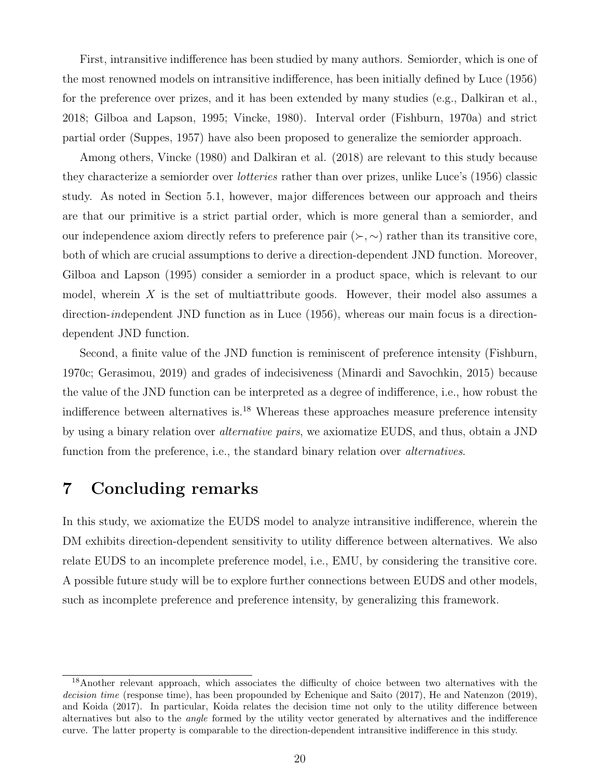First, intransitive indifference has been studied by many authors. Semiorder, which is one of the most renowned models on intransitive indifference, has been initially defined by Luce (1956) for the preference over prizes, and it has been extended by many studies (e.g., Dalkiran et al., 2018; Gilboa and Lapson, 1995; Vincke, 1980). Interval order (Fishburn, 1970a) and strict partial order (Suppes, 1957) have also been proposed to generalize the semiorder approach.

Among others, Vincke (1980) and Dalkiran et al. (2018) are relevant to this study because they characterize a semiorder over *lotteries* rather than over prizes, unlike Luce's (1956) classic study. As noted in Section 5.1, however, major differences between our approach and theirs are that our primitive is a strict partial order, which is more general than a semiorder, and our independence axiom directly refers to preference pair  $(\succ, \sim)$  rather than its transitive core, both of which are crucial assumptions to derive a direction-dependent JND function. Moreover, Gilboa and Lapson (1995) consider a semiorder in a product space, which is relevant to our model, wherein *X* is the set of multiattribute goods. However, their model also assumes a direction-*in*dependent JND function as in Luce (1956), whereas our main focus is a directiondependent JND function.

Second, a finite value of the JND function is reminiscent of preference intensity (Fishburn, 1970c; Gerasimou, 2019) and grades of indecisiveness (Minardi and Savochkin, 2015) because the value of the JND function can be interpreted as a degree of indifference, i.e., how robust the indifference between alternatives is.<sup>18</sup> Whereas these approaches measure preference intensity by using a binary relation over *alternative pairs*, we axiomatize EUDS, and thus, obtain a JND function from the preference, i.e., the standard binary relation over *alternatives*.

# **7 Concluding remarks**

In this study, we axiomatize the EUDS model to analyze intransitive indifference, wherein the DM exhibits direction-dependent sensitivity to utility difference between alternatives. We also relate EUDS to an incomplete preference model, i.e., EMU, by considering the transitive core. A possible future study will be to explore further connections between EUDS and other models, such as incomplete preference and preference intensity, by generalizing this framework.

<sup>&</sup>lt;sup>18</sup>Another relevant approach, which associates the difficulty of choice between two alternatives with the *decision time* (response time), has been propounded by Echenique and Saito (2017), He and Natenzon (2019), and Koida (2017). In particular, Koida relates the decision time not only to the utility difference between alternatives but also to the *angle* formed by the utility vector generated by alternatives and the indifference curve. The latter property is comparable to the direction-dependent intransitive indifference in this study.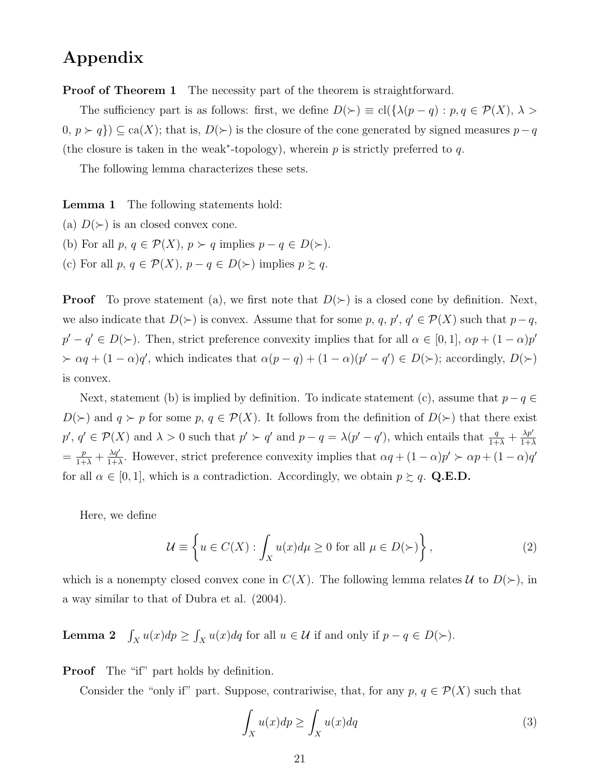## **Appendix**

**Proof of Theorem 1** The necessity part of the theorem is straightforward.

The sufficiency part is as follows: first, we define  $D(\succ) \equiv \text{cl}(\{\lambda(p-q) : p, q \in \mathcal{P}(X), \lambda > \lambda\})$ 0,  $p \succ q$ }) ⊆ ca(*X*); that is, *D*( $\succ$ ) is the closure of the cone generated by signed measures  $p-q$ (the closure is taken in the weak*<sup>∗</sup>* -topology), wherein *p* is strictly preferred to *q*.

The following lemma characterizes these sets.

**Lemma 1** The following statements hold:

- (a)  $D(\succ)$  is an closed convex cone.
- (b) For all  $p, q \in \mathcal{P}(X), p \succ q$  implies  $p q \in D(\succ)$ .
- (c) For all  $p, q \in \mathcal{P}(X), p q \in D(\succ)$  implies  $p \succsim q$ .

**Proof** To prove statement (a), we first note that  $D(\succ)$  is a closed cone by definition. Next, we also indicate that  $D(\succ)$  is convex. Assume that for some  $p, q, p', q' \in \mathcal{P}(X)$  such that  $p-q$ ,  $p' - q' \in D(\succ)$ . Then, strict preference convexity implies that for all  $\alpha \in [0,1]$ ,  $\alpha p + (1-\alpha)p'$  $\succ \alpha q + (1 - \alpha)q'$ , which indicates that  $\alpha(p - q) + (1 - \alpha)(p' - q') \in D(\succ)$ ; accordingly,  $D(\succ)$ is convex.

Next, statement (b) is implied by definition. To indicate statement (c), assume that *p−q ∈ D*(*≻*) and *q ≻ p* for some *p*, *q* ∈ *P*(*X*). It follows from the definition of *D*(*≻*) that there exist  $p', q' \in \mathcal{P}(X)$  and  $\lambda > 0$  such that  $p' \succ q'$  and  $p - q = \lambda(p' - q')$ , which entails that  $\frac{q}{1+\lambda} + \frac{\lambda p'}{1+\lambda}$ 1+*λ*  $=\frac{p}{1+\lambda}+\frac{\lambda q'}{1+\lambda}$  $\frac{\lambda q'}{1+\lambda}$ . However, strict preference convexity implies that  $\alpha q + (1-\alpha)p' > \alpha p + (1-\alpha)q'$ for all  $\alpha \in [0, 1]$ , which is a contradiction. Accordingly, we obtain  $p \succeq q$ . **Q.E.D.** 

Here, we define

$$
\mathcal{U} \equiv \left\{ u \in C(X) : \int_{X} u(x) d\mu \ge 0 \text{ for all } \mu \in D(\succ) \right\},\tag{2}
$$

which is a nonempty closed convex cone in  $C(X)$ . The following lemma relates  $U$  to  $D(\succ)$ , in a way similar to that of Dubra et al. (2004).

**Lemma 2**  $\int_X u(x) \, dp \geq \int_X u(x) \, dq$  for all  $u \in \mathcal{U}$  if and only if  $p - q \in D(\succ)$ .

**Proof** The "if" part holds by definition.

Consider the "only if" part. Suppose, contrariwise, that, for any  $p, q \in \mathcal{P}(X)$  such that

$$
\int_{X} u(x)dp \ge \int_{X} u(x)dq
$$
\n(3)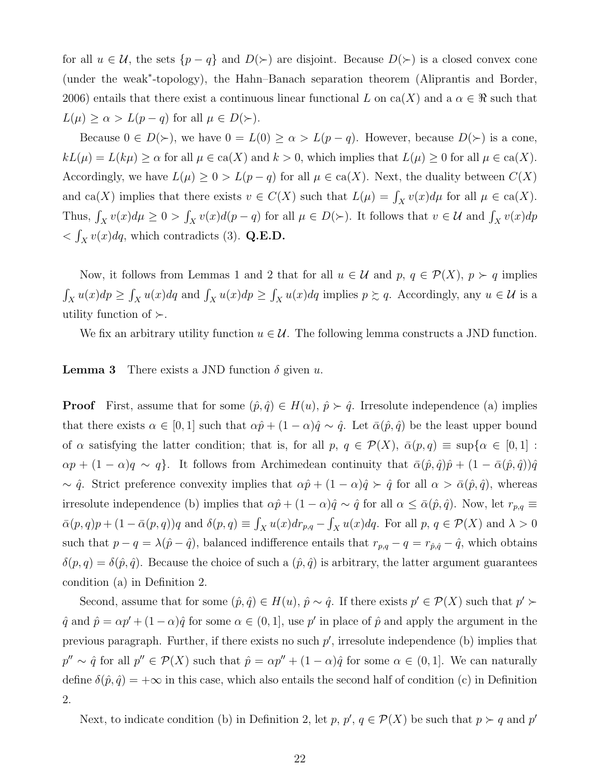for all  $u \in \mathcal{U}$ , the sets  $\{p-q\}$  and  $D(\succ)$  are disjoint. Because  $D(\succ)$  is a closed convex cone (under the weak*<sup>∗</sup>* -topology), the Hahn–Banach separation theorem (Aliprantis and Border, 2006) entails that there exist a continuous linear functional L on ca(X) and a  $\alpha \in \mathbb{R}$  such that  $L(\mu) \ge \alpha > L(p-q)$  for all  $\mu \in D(\succ)$ .

Because  $0 \in D(\succ)$ , we have  $0 = L(0) \ge \alpha > L(p-q)$ . However, because  $D(\succ)$  is a cone,  $kL(\mu) = L(k\mu) \ge \alpha$  for all  $\mu \in \text{ca}(X)$  and  $k > 0$ , which implies that  $L(\mu) \ge 0$  for all  $\mu \in \text{ca}(X)$ . Accordingly, we have  $L(\mu) \geq 0 > L(p-q)$  for all  $\mu \in \text{ca}(X)$ . Next, the duality between  $C(X)$ and ca(*X*) implies that there exists  $v \in C(X)$  such that  $L(\mu) = \int_X v(x) d\mu$  for all  $\mu \in ca(X)$ . Thus,  $\int_X v(x)d\mu \ge 0$  >  $\int_X v(x)d(p-q)$  for all  $\mu \in D(\succ)$ . It follows that  $v \in \mathcal{U}$  and  $\int_X v(x)dp$  $\langle \int_X v(x) \, dq$ , which contradicts (3). **Q.E.D.** 

Now, it follows from Lemmas 1 and 2 that for all  $u \in \mathcal{U}$  and  $p, q \in \mathcal{P}(X), p \succ q$  implies  $\int_X u(x)dp \ge \int_X u(x)dq$  and  $\int_X u(x)dp \ge \int_X u(x)dq$  implies  $p \ge q$ . Accordingly, any  $u \in \mathcal{U}$  is a utility function of *≻*.

We fix an arbitrary utility function  $u \in \mathcal{U}$ . The following lemma constructs a JND function.

**Lemma 3** There exists a JND function  $\delta$  given *u*.

**Proof** First, assume that for some  $(\hat{p}, \hat{q}) \in H(u)$ ,  $\hat{p} \succ \hat{q}$ . Irresolute independence (a) implies that there exists  $\alpha \in [0,1]$  such that  $\alpha \hat{p} + (1-\alpha)\hat{q} \sim \hat{q}$ . Let  $\bar{\alpha}(\hat{p},\hat{q})$  be the least upper bound of *α* satisfying the latter condition; that is, for all *p*,  $q \in \mathcal{P}(X)$ ,  $\bar{\alpha}(p,q) \equiv \sup\{\alpha \in [0,1]:$  $\alpha p + (1 - \alpha)q \sim q$ }. It follows from Archimedean continuity that  $\bar{\alpha}(\hat{p}, \hat{q})\hat{p} + (1 - \bar{\alpha}(\hat{p}, \hat{q}))\hat{q}$ *∼*  $\hat{q}$ . Strict preference convexity implies that  $\alpha \hat{p} + (1 - \alpha)\hat{q}$  *≻*  $\hat{q}$  for all  $\alpha > \bar{\alpha}(\hat{p}, \hat{q})$ , whereas irresolute independence (b) implies that  $\alpha \hat{p} + (1 - \alpha)\hat{q} \sim \hat{q}$  for all  $\alpha \leq \bar{\alpha}(\hat{p}, \hat{q})$ . Now, let  $r_{p,q} \equiv$  $\bar{\alpha}(p,q)p + (1 - \bar{\alpha}(p,q))q$  and  $\delta(p,q) \equiv \int_X u(x)dr_{p,q} - \int_X u(x)dq$ . For all  $p, q \in \mathcal{P}(X)$  and  $\lambda > 0$ such that  $p - q = \lambda(\hat{p} - \hat{q})$ , balanced indifference entails that  $r_{p,q} - q = r_{\hat{p},\hat{q}} - \hat{q}$ , which obtains  $\delta(p,q) = \delta(\hat{p},\hat{q})$ . Because the choice of such a  $(\hat{p},\hat{q})$  is arbitrary, the latter argument guarantees condition (a) in Definition 2.

Second, assume that for some  $(\hat{p}, \hat{q}) \in H(u)$ ,  $\hat{p} \sim \hat{q}$ . If there exists  $p' \in \mathcal{P}(X)$  such that  $p' \succ p$  $\hat{q}$  and  $\hat{p} = \alpha p' + (1 - \alpha)\hat{q}$  for some  $\alpha \in (0, 1]$ , use  $p'$  in place of  $\hat{p}$  and apply the argument in the previous paragraph. Further, if there exists no such *p ′* , irresolute independence (b) implies that  $p'' \sim \hat{q}$  for all  $p'' \in \mathcal{P}(X)$  such that  $\hat{p} = \alpha p'' + (1 - \alpha)\hat{q}$  for some  $\alpha \in (0, 1]$ . We can naturally define  $\delta(\hat{p}, \hat{q}) = +\infty$  in this case, which also entails the second half of condition (c) in Definition 2.

Next, to indicate condition (b) in Definition 2, let *p*,  $p'$ ,  $q \in \mathcal{P}(X)$  be such that  $p \succ q$  and  $p'$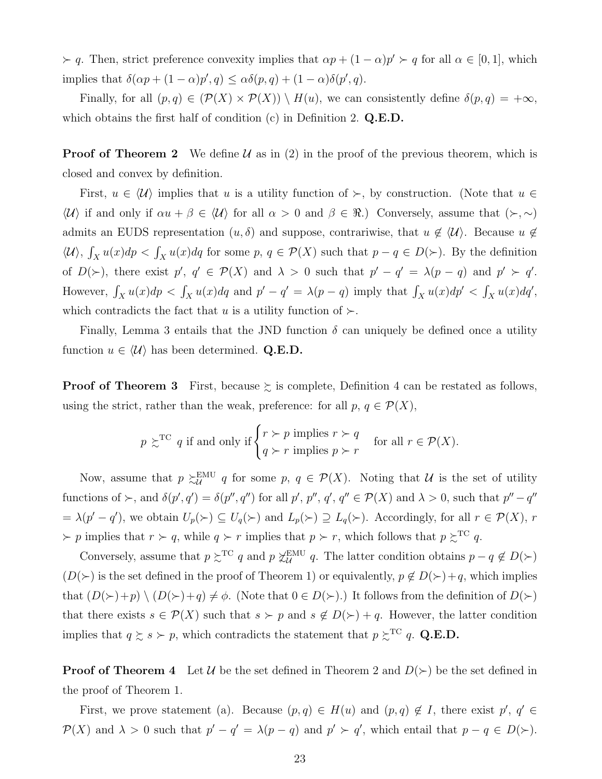$\rangle$  *γ a*. Then, strict preference convexity implies that  $\alpha p + (1 - \alpha)p' \succ q$  for all  $\alpha \in [0, 1]$ , which implies that  $\delta(\alpha p + (1 - \alpha)p', q) \leq \alpha \delta(p, q) + (1 - \alpha)\delta(p', q)$ .

Finally, for all  $(p, q) \in (\mathcal{P}(X) \times \mathcal{P}(X)) \setminus H(u)$ , we can consistently define  $\delta(p, q) = +\infty$ , which obtains the first half of condition (c) in Definition 2. **Q.E.D.**

**Proof of Theorem 2** We define  $\mathcal{U}$  as in (2) in the proof of the previous theorem, which is closed and convex by definition.

First,  $u \in \langle \mathcal{U} \rangle$  implies that  $u$  is a utility function of  $\succ$ , by construction. (Note that  $u \in$  $\langle U \rangle$  if and only if *αu* + *β*  $\in$   $\langle U \rangle$  for all *α* > 0 and *β*  $\in$  *R*.) Conversely, assume that (*≻*,  $\sim$ ) admits an EUDS representation  $(u, \delta)$  and suppose, contrariwise, that  $u \notin \langle \mathcal{U} \rangle$ . Because  $u \notin \mathcal{U}$  $\langle \mathcal{U} \rangle$ ,  $\int_X u(x) dp < \int_X u(x) dq$  for some  $p, q \in \mathcal{P}(X)$  such that  $p - q \in D(\succ)$ . By the definition of  $D(\succ)$ , there exist  $p'$ ,  $q' \in \mathcal{P}(X)$  and  $\lambda > 0$  such that  $p' - q' = \lambda(p - q)$  and  $p' \succ q'$ . However,  $\int_X u(x)dp < \int_X u(x)dq$  and  $p'-q' = \lambda(p-q)$  imply that  $\int_X u(x)dp' < \int_X u(x)dq'$ , which contradicts the fact that *u* is a utility function of  $\succ$ .

Finally, Lemma 3 entails that the JND function  $\delta$  can uniquely be defined once a utility function  $u \in \langle \mathcal{U} \rangle$  has been determined. **Q.E.D.** 

**Proof of Theorem 3** First, because  $\succsim$  is complete, Definition 4 can be restated as follows, using the strict, rather than the weak, preference: for all  $p, q \in \mathcal{P}(X)$ ,

$$
p \geq^{\text{TC}} q
$$
 if and only if  $\begin{cases} r \succ p \text{ implies } r \succ q \\ q \succ r \text{ implies } p \succ r \end{cases}$  for all  $r \in \mathcal{P}(X)$ .

Now, assume that  $p \geq U$  $U_{\mathcal{U}}^{\text{EMU}}$  *q* for some *p*,  $q \in \mathcal{P}(X)$ . Noting that *U* is the set of utility functions of  $\succ$ , and  $\delta(p', q') = \delta(p'', q'')$  for all  $p', p'', q', q'' \in \mathcal{P}(X)$  and  $\lambda > 0$ , such that  $p'' - q''$  $= \lambda(p'-q')$ , we obtain  $U_p(\succ) \subseteq U_q(\succ)$  and  $L_p(\succ) \supseteq L_q(\succ)$ . Accordingly, for all  $r \in \mathcal{P}(X)$ , r  $\rangle$  *p* implies that  $r \succ q$ , while  $q \succ r$  implies that  $p \succ r$ , which follows that  $p \succsim^{\text{TC}} q$ .

Conversely, assume that  $p \succsim^{\text{TC}} q$  and  $p \not\sim^{\text{EMU}}_u$  $U$ <sup>*u*</sup> *q*. The latter condition obtains *p − q*  $\notin$  *D*(*≻*) (*D*(*≻*) is the set defined in the proof of Theorem 1) or equivalently,  $p \notin D(\succ) + q$ , which implies that  $(D(\succ)+p) \setminus (D(\succ)+q) \neq \phi$ . (Note that  $0 \in D(\succ)$ .) It follows from the definition of  $D(\succ)$ that there exists  $s \in \mathcal{P}(X)$  such that  $s \succ p$  and  $s \notin D(\succ) + q$ . However, the latter condition implies that  $q \geq s \succ p$ , which contradicts the statement that  $p \geq^{\text{TC}} q$ . Q.E.D.

**Proof of Theorem 4** Let *U* be the set defined in Theorem 2 and  $D(\succ)$  be the set defined in the proof of Theorem 1.

First, we prove statement (a). Because  $(p,q) \in H(u)$  and  $(p,q) \notin I$ , there exist  $p'$ ,  $q' \in$  $\mathcal{P}(X)$  and  $\lambda > 0$  such that  $p' - q' = \lambda(p - q)$  and  $p' > q'$ , which entail that  $p - q \in D(\succ)$ .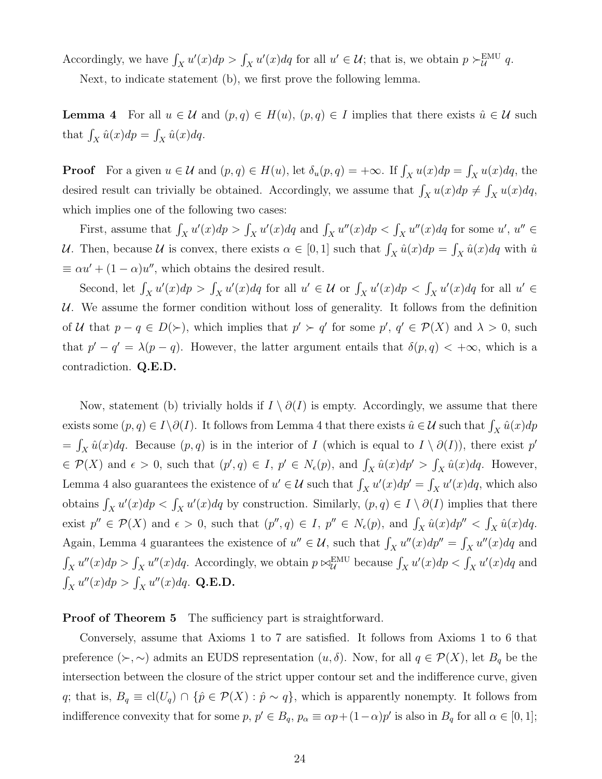Accordingly, we have  $\int_X u'(x)dp > \int_X u'(x)dq$  for all  $u' \in \mathcal{U}$ ; that is, we obtain  $p \succ^{\text{EMU}}_{\mathcal{U}} q$ .

Next, to indicate statement (b), we first prove the following lemma.

**Lemma 4** For all  $u \in \mathcal{U}$  and  $(p, q) \in H(u)$ ,  $(p, q) \in I$  implies that there exists  $\hat{u} \in \mathcal{U}$  such that  $\int_X \hat{u}(x) dp = \int_X \hat{u}(x) dq$ .

**Proof** For a given  $u \in \mathcal{U}$  and  $(p, q) \in H(u)$ , let  $\delta_u(p, q) = +\infty$ . If  $\int_X u(x) dp = \int_X u(x) dq$ , the desired result can trivially be obtained. Accordingly, we assume that  $\int_X u(x) dp \neq \int_X u(x) dq$ , which implies one of the following two cases:

First, assume that  $\int_X u'(x)dp > \int_X u'(x)dq$  and  $\int_X u''(x)dp < \int_X u''(x)dq$  for some  $u', u'' \in$ *U*. Then, because *U* is convex, there exists  $\alpha \in [0, 1]$  such that  $\int_X \hat{u}(x) dp = \int_X \hat{u}(x) dq$  with  $\hat{u}$  $\equiv \alpha u' + (1 - \alpha)u''$ , which obtains the desired result.

Second, let  $\int_X u'(x)dp > \int_X u'(x)dq$  for all  $u' \in \mathcal{U}$  or  $\int_X u'(x)dp < \int_X u'(x)dq$  for all  $u' \in$ *U*. We assume the former condition without loss of generality. It follows from the definition of U that  $p - q \in D(\succ)$ , which implies that  $p' \succ q'$  for some  $p', q' \in \mathcal{P}(X)$  and  $\lambda > 0$ , such that  $p' - q' = \lambda(p - q)$ . However, the latter argument entails that  $\delta(p, q) < +\infty$ , which is a contradiction. **Q.E.D.**

Now, statement (b) trivially holds if  $I \setminus \partial(I)$  is empty. Accordingly, we assume that there exists some  $(p, q) \in I \setminus \partial(I)$ . It follows from Lemma 4 that there exists  $\hat{u} \in \mathcal{U}$  such that  $\int_X \hat{u}(x) dp$  $=\int_X \hat{u}(x) dq$ . Because  $(p, q)$  is in the interior of *I* (which is equal to  $I \setminus \partial(I)$ ), there exist  $p'$  $\in \mathcal{P}(X)$  and  $\epsilon > 0$ , such that  $(p', q) \in I$ ,  $p' \in N_{\epsilon}(p)$ , and  $\int_X \hat{u}(x) dp' > \int_X \hat{u}(x) dq$ . However, Lemma 4 also guarantees the existence of  $u' \in U$  such that  $\int_X u'(x) dp' = \int_X u'(x) dq$ , which also obtains  $\int_X u'(x)dp < \int_X u'(x)dq$  by construction. Similarly,  $(p,q) \in I \setminus \partial(I)$  implies that there exist  $p'' \in \mathcal{P}(X)$  and  $\epsilon > 0$ , such that  $(p'', q) \in I$ ,  $p'' \in N_{\epsilon}(p)$ , and  $\int_X \hat{u}(x) dp'' < \int_X \hat{u}(x) dq$ . Again, Lemma 4 guarantees the existence of  $u'' \in \mathcal{U}$ , such that  $\int_X u''(x)dp'' = \int_X u''(x)dq$  and  $\int_X u''(x)dp > \int_X u''(x)dq$ . Accordingly, we obtain  $p \bowtie^{\text{EMU}}_{\mathcal{U}}$  because  $\int_X u'(x)dp < \int_X u'(x)dq$  and  $\int_X u''(x)dp > \int_X u''(x)dq$ . **Q.E.D.** 

**Proof of Theorem 5** The sufficiency part is straightforward.

Conversely, assume that Axioms 1 to 7 are satisfied. It follows from Axioms 1 to 6 that preference  $(\succ, \sim)$  admits an EUDS representation  $(u, \delta)$ . Now, for all  $q \in \mathcal{P}(X)$ , let  $B_q$  be the intersection between the closure of the strict upper contour set and the indifference curve, given *q*; that is,  $B_q \equiv \text{cl}(U_q) \cap \{\hat{p} \in \mathcal{P}(X) : \hat{p} \sim q\}$ , which is apparently nonempty. It follows from indifference convexity that for some  $p, p' \in B_q$ ,  $p_\alpha \equiv \alpha p + (1 - \alpha)p'$  is also in  $B_q$  for all  $\alpha \in [0, 1]$ ;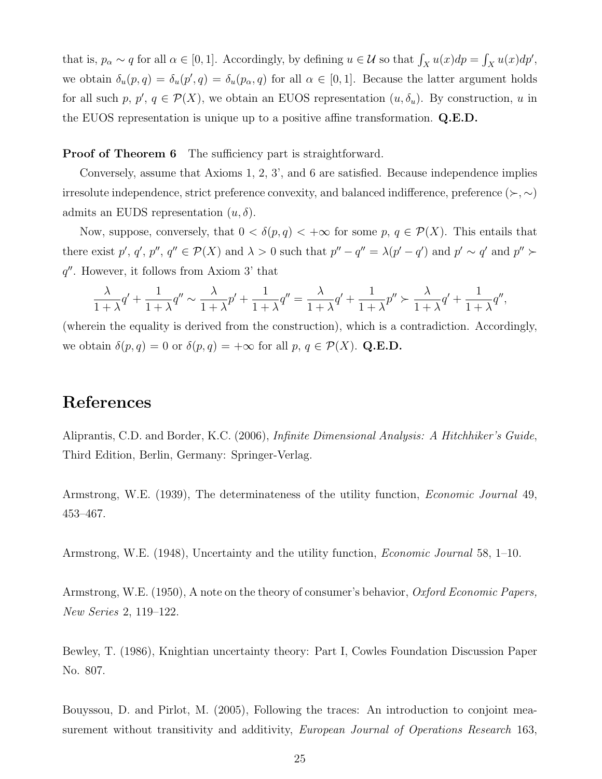that is,  $p_{\alpha} \sim q$  for all  $\alpha \in [0, 1]$ . Accordingly, by defining  $u \in \mathcal{U}$  so that  $\int_X u(x) dp = \int_X u(x) dp'$ , we obtain  $\delta_u(p,q) = \delta_u(p',q) = \delta_u(p_\alpha,q)$  for all  $\alpha \in [0,1]$ . Because the latter argument holds for all such *p*,  $p'$ ,  $q \in \mathcal{P}(X)$ , we obtain an EUOS representation  $(u, \delta_u)$ . By construction, *u* in the EUOS representation is unique up to a positive affine transformation. **Q.E.D.**

**Proof of Theorem 6** The sufficiency part is straightforward.

Conversely, assume that Axioms 1, 2, 3', and 6 are satisfied. Because independence implies irresolute independence, strict preference convexity, and balanced indifference, preference ( $\succ$ ,  $\sim$ ) admits an EUDS representation  $(u, \delta)$ .

Now, suppose, conversely, that  $0 < \delta(p,q) < +\infty$  for some  $p, q \in \mathcal{P}(X)$ . This entails that there exist p', q', p'', q''  $\in \mathcal{P}(X)$  and  $\lambda > 0$  such that  $p'' - q'' = \lambda(p' - q')$  and  $p' \sim q'$  and  $p'' \succ$ *q ′′*. However, it follows from Axiom 3' that

$$
\frac{\lambda}{1+\lambda}q'+\frac{1}{1+\lambda}q''\sim \frac{\lambda}{1+\lambda}p'+\frac{1}{1+\lambda}q''=\frac{\lambda}{1+\lambda}q'+\frac{1}{1+\lambda}p''\succ \frac{\lambda}{1+\lambda}q'+\frac{1}{1+\lambda}q'',
$$

(wherein the equality is derived from the construction), which is a contradiction. Accordingly, we obtain  $\delta(p,q) = 0$  or  $\delta(p,q) = +\infty$  for all  $p, q \in \mathcal{P}(X)$ . Q.E.D.

## **References**

Aliprantis, C.D. and Border, K.C. (2006), *Infinite Dimensional Analysis: A Hitchhiker's Guide*, Third Edition, Berlin, Germany: Springer-Verlag.

Armstrong, W.E. (1939), The determinateness of the utility function, *Economic Journal* 49, 453–467.

Armstrong, W.E. (1948), Uncertainty and the utility function, *Economic Journal* 58, 1–10.

Armstrong, W.E. (1950), A note on the theory of consumer's behavior, *Oxford Economic Papers, New Series* 2, 119–122.

Bewley, T. (1986), Knightian uncertainty theory: Part I, Cowles Foundation Discussion Paper No. 807.

Bouyssou, D. and Pirlot, M. (2005), Following the traces: An introduction to conjoint measurement without transitivity and additivity, *European Journal of Operations Research* 163,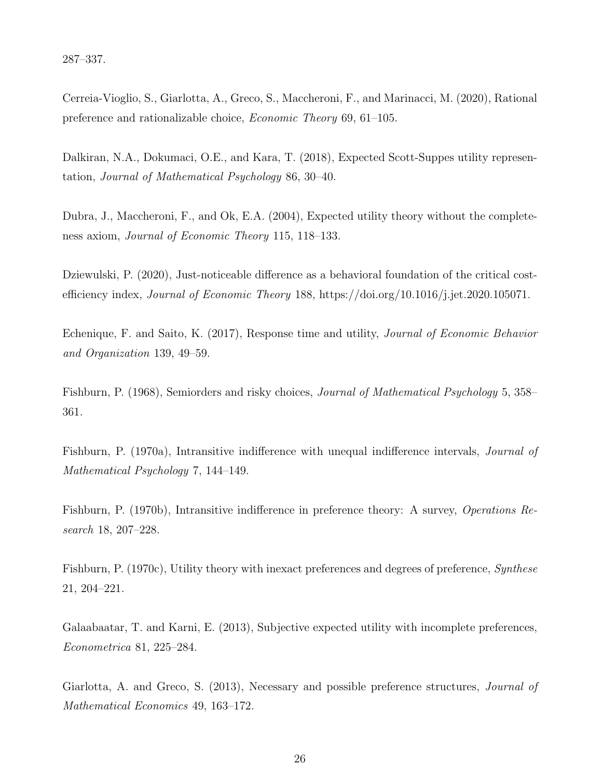287–337.

Cerreia-Vioglio, S., Giarlotta, A., Greco, S., Maccheroni, F., and Marinacci, M. (2020), Rational preference and rationalizable choice, *Economic Theory* 69, 61–105.

Dalkiran, N.A., Dokumaci, O.E., and Kara, T. (2018), Expected Scott-Suppes utility representation, *Journal of Mathematical Psychology* 86, 30–40.

Dubra, J., Maccheroni, F., and Ok, E.A. (2004), Expected utility theory without the completeness axiom, *Journal of Economic Theory* 115, 118–133.

Dziewulski, P. (2020), Just-noticeable difference as a behavioral foundation of the critical costefficiency index, *Journal of Economic Theory* 188, https://doi.org/10.1016/j.jet.2020.105071.

Echenique, F. and Saito, K. (2017), Response time and utility, *Journal of Economic Behavior and Organization* 139, 49–59.

Fishburn, P. (1968), Semiorders and risky choices, *Journal of Mathematical Psychology* 5, 358– 361.

Fishburn, P. (1970a), Intransitive indifference with unequal indifference intervals, *Journal of Mathematical Psychology* 7, 144–149.

Fishburn, P. (1970b), Intransitive indifference in preference theory: A survey, *Operations Research* 18, 207–228.

Fishburn, P. (1970c), Utility theory with inexact preferences and degrees of preference, *Synthese* 21, 204–221.

Galaabaatar, T. and Karni, E. (2013), Subjective expected utility with incomplete preferences, *Econometrica* 81, 225–284.

Giarlotta, A. and Greco, S. (2013), Necessary and possible preference structures, *Journal of Mathematical Economics* 49, 163–172.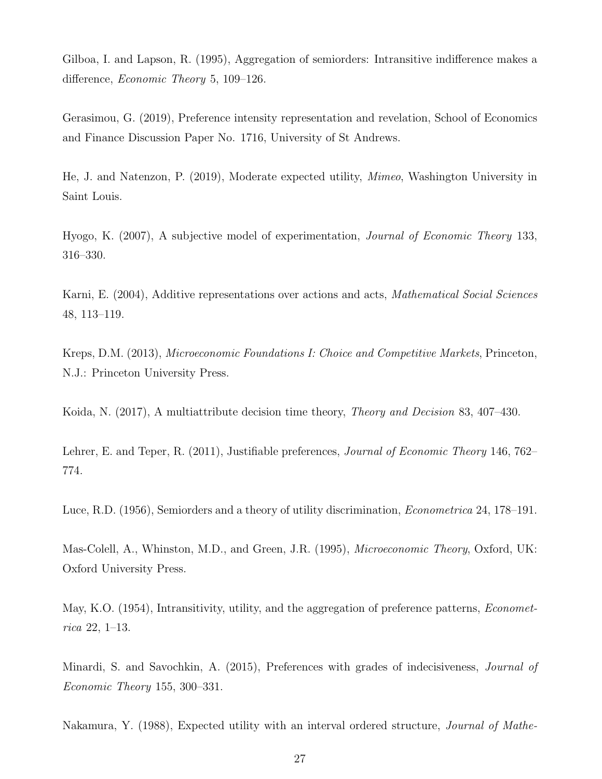Gilboa, I. and Lapson, R. (1995), Aggregation of semiorders: Intransitive indifference makes a difference, *Economic Theory* 5, 109–126.

Gerasimou, G. (2019), Preference intensity representation and revelation, School of Economics and Finance Discussion Paper No. 1716, University of St Andrews.

He, J. and Natenzon, P. (2019), Moderate expected utility, *Mimeo*, Washington University in Saint Louis.

Hyogo, K. (2007), A subjective model of experimentation, *Journal of Economic Theory* 133, 316–330.

Karni, E. (2004), Additive representations over actions and acts, *Mathematical Social Sciences* 48, 113–119.

Kreps, D.M. (2013), *Microeconomic Foundations I: Choice and Competitive Markets*, Princeton, N.J.: Princeton University Press.

Koida, N. (2017), A multiattribute decision time theory, *Theory and Decision* 83, 407–430.

Lehrer, E. and Teper, R. (2011), Justifiable preferences, *Journal of Economic Theory* 146, 762– 774.

Luce, R.D. (1956), Semiorders and a theory of utility discrimination, *Econometrica* 24, 178–191.

Mas-Colell, A., Whinston, M.D., and Green, J.R. (1995), *Microeconomic Theory*, Oxford, UK: Oxford University Press.

May, K.O. (1954), Intransitivity, utility, and the aggregation of preference patterns, *Econometrica* 22, 1–13.

Minardi, S. and Savochkin, A. (2015), Preferences with grades of indecisiveness, *Journal of Economic Theory* 155, 300–331.

Nakamura, Y. (1988), Expected utility with an interval ordered structure, *Journal of Mathe-*